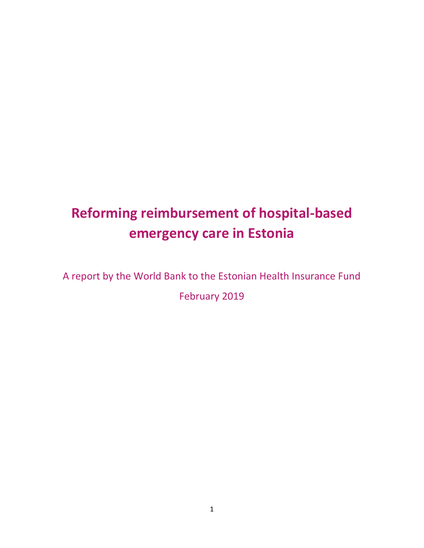# **Reforming reimbursement of hospital-based emergency care in Estonia**

A report by the World Bank to the Estonian Health Insurance Fund

February 2019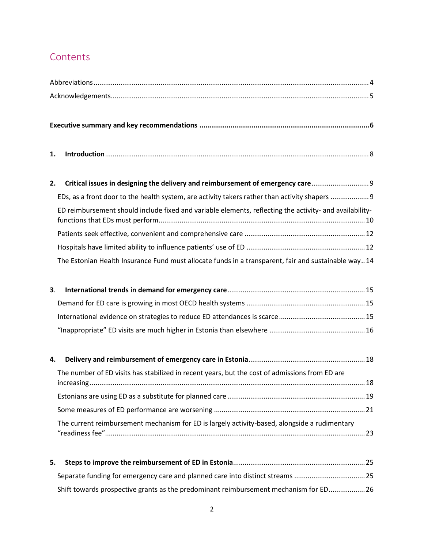# **Contents**

| 2. Critical issues in designing the delivery and reimbursement of emergency care                        |  |
|---------------------------------------------------------------------------------------------------------|--|
|                                                                                                         |  |
| ED reimbursement should include fixed and variable elements, reflecting the activity- and availability- |  |
|                                                                                                         |  |
|                                                                                                         |  |
| The Estonian Health Insurance Fund must allocate funds in a transparent, fair and sustainable way14     |  |

| The number of ED visits has stabilized in recent years, but the cost of admissions from ED are |  |
|------------------------------------------------------------------------------------------------|--|
|                                                                                                |  |
|                                                                                                |  |
| The current reimbursement mechanism for ED is largely activity-based, alongside a rudimentary  |  |

| Separate funding for emergency care and planned care into distinct streams 25         |  |
|---------------------------------------------------------------------------------------|--|
| Shift towards prospective grants as the predominant reimbursement mechanism for ED 26 |  |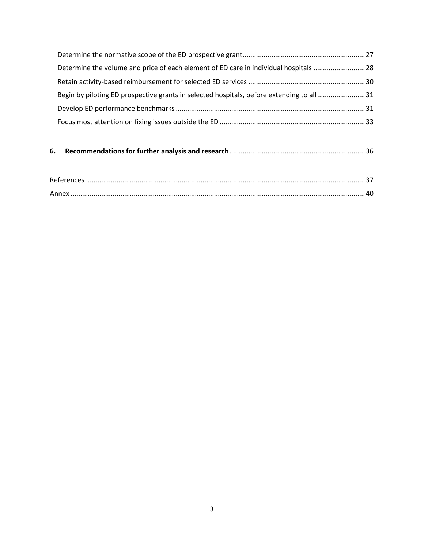| Determine the volume and price of each element of ED care in individual hospitals 28     |  |
|------------------------------------------------------------------------------------------|--|
|                                                                                          |  |
| Begin by piloting ED prospective grants in selected hospitals, before extending to all31 |  |
|                                                                                          |  |
|                                                                                          |  |

### **6. [Recommendations for further analysis and research](#page-35-0)**.......................................................................36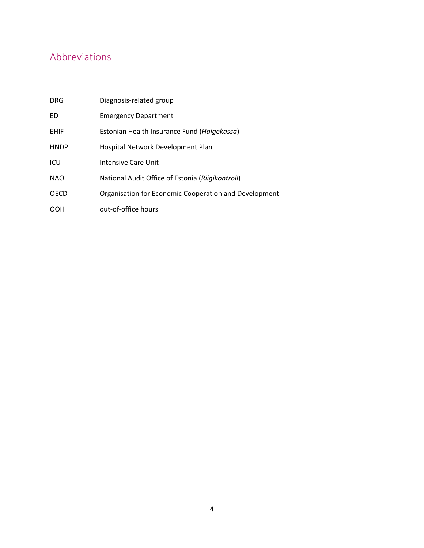# <span id="page-3-0"></span>Abbreviations

| <b>DRG</b>  | Diagnosis-related group                               |
|-------------|-------------------------------------------------------|
| ED          | <b>Emergency Department</b>                           |
| <b>EHIF</b> | Estonian Health Insurance Fund (Haigekassa)           |
| <b>HNDP</b> | Hospital Network Development Plan                     |
| ICU         | Intensive Care Unit                                   |
| <b>NAO</b>  | National Audit Office of Estonia (Riigikontroll)      |
| <b>OECD</b> | Organisation for Economic Cooperation and Development |
| OOH         | out-of-office hours                                   |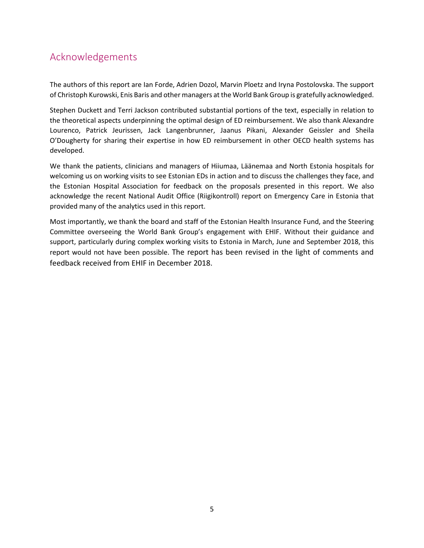# <span id="page-4-0"></span>Acknowledgements

The authors of this report are Ian Forde, Adrien Dozol, Marvin Ploetz and Iryna Postolovska. The support of Christoph Kurowski, Enis Baris and other managers at the World Bank Group is gratefully acknowledged.

Stephen Duckett and Terri Jackson contributed substantial portions of the text, especially in relation to the theoretical aspects underpinning the optimal design of ED reimbursement. We also thank Alexandre Lourenco, Patrick Jeurissen, Jack Langenbrunner, Jaanus Pikani, Alexander Geissler and Sheila O'Dougherty for sharing their expertise in how ED reimbursement in other OECD health systems has developed.

We thank the patients, clinicians and managers of Hiiumaa, Läänemaa and North Estonia hospitals for welcoming us on working visits to see Estonian EDs in action and to discuss the challenges they face, and the Estonian Hospital Association for feedback on the proposals presented in this report. We also acknowledge the recent National Audit Office (Riigikontroll) report on Emergency Care in Estonia that provided many of the analytics used in this report.

Most importantly, we thank the board and staff of the Estonian Health Insurance Fund, and the Steering Committee overseeing the World Bank Group's engagement with EHIF. Without their guidance and support, particularly during complex working visits to Estonia in March, June and September 2018, this report would not have been possible. The report has been revised in the light of comments and feedback received from EHIF in December 2018.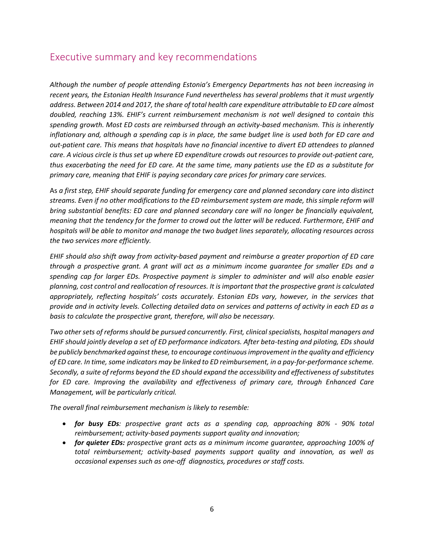# <span id="page-5-0"></span>Executive summary and key recommendations

*Although the number of people attending Estonia's Emergency Departments has not been increasing in recent years, the Estonian Health Insurance Fund nevertheless has several problems that it must urgently address. Between 2014 and 2017, the share of total health care expenditure attributable to ED care almost doubled, reaching 13%. EHIF's current reimbursement mechanism is not well designed to contain this spending growth. Most ED costs are reimbursed through an activity-based mechanism. This is inherently inflationary and, although a spending cap is in place, the same budget line is used both for ED care and out-patient care. This means that hospitals have no financial incentive to divert ED attendees to planned care. A vicious circle is thus set up where ED expenditure crowds out resources to provide out-patient care, thus exacerbating the need for ED care. At the same time, many patients use the ED as a substitute for primary care, meaning that EHIF is paying secondary care prices for primary care services.*

As *a first step, EHIF should separate funding for emergency care and planned secondary care into distinct streams. Even if no other modifications to the ED reimbursement system are made, this simple reform will bring substantial benefits: ED care and planned secondary care will no longer be financially equivalent, meaning that the tendency for the former to crowd out the latter will be reduced. Furthermore, EHIF and hospitals will be able to monitor and manage the two budget lines separately, allocating resources across the two services more efficiently.* 

*EHIF should also shift away from activity-based payment and reimburse a greater proportion of ED care through a prospective grant. A grant will act as a minimum income guarantee for smaller EDs and a spending cap for larger EDs. Prospective payment is simpler to administer and will also enable easier planning, cost control and reallocation of resources. It is important that the prospective grant is calculated appropriately, reflecting hospitals' costs accurately. Estonian EDs vary, however, in the services that provide and in activity levels. Collecting detailed data on services and patterns of activity in each ED as a basis to calculate the prospective grant, therefore, will also be necessary.*

*Two other sets of reforms should be pursued concurrently. First, clinical specialists, hospital managers and EHIF should jointly develop a set of ED performance indicators. After beta-testing and piloting, EDs should be publicly benchmarked against these, to encourage continuous improvement in the quality and efficiency of ED care. In time, some indicators may be linked to ED reimbursement, in a pay-for-performance scheme. Secondly, a suite of reforms beyond the ED should expand the accessibility and effectiveness of substitutes for ED care. Improving the availability and effectiveness of primary care, through Enhanced Care Management, will be particularly critical.* 

*The overall final reimbursement mechanism is likely to resemble:*

- *for busy EDs: prospective grant acts as a spending cap, approaching 80% - 90% total reimbursement; activity-based payments support quality and innovation;*
- *for quieter EDs: prospective grant acts as a minimum income guarantee, approaching 100% of total reimbursement; activity-based payments support quality and innovation, as well as occasional expenses such as one-off diagnostics, procedures or staff costs.*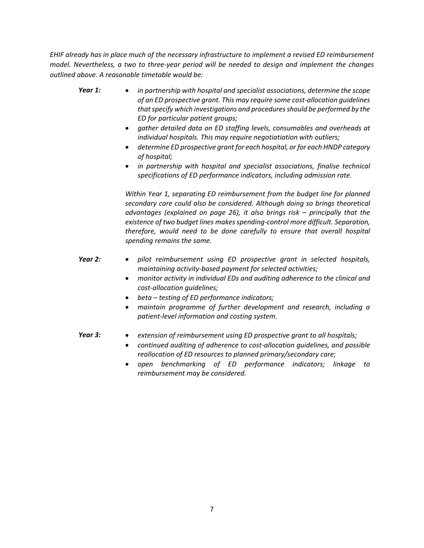*EHIF already has in place much of the necessary infrastructure to implement a revised ED reimbursement model. Nevertheless, a two to three-year period will be needed to design and implement the changes outlined above. A reasonable timetable would be:*

- *Year 1: in partnership with hospital and specialist associations, determine the scope of an ED prospective grant. This may require some cost-allocation guidelines that specify which investigations and procedures should be performed by the ED for particular patient groups;*
	- *gather detailed data on ED staffing levels, consumables and overheads at individual hospitals. This may require negotiatiation with outliers;*
	- *determine ED prospective grant for each hospital, or for each HNDP category of hospital;*
	- *in partnership with hospital and specialist associations, finalise technical specifications of ED performance indicators, including admission rate.*

*Within Year 1, separating ED reimbursement from the budget line for planned secondary care could also be considered. Although doing so brings theoretical advantages (explained on page 26), it also brings risk – principally that the existence of two budget lines makes spending-control more difficult. Separation, therefore, would need to be done carefully to ensure that overall hospital spending remains the same.*

- *Year 2: pilot reimbursement using ED prospective grant in selected hospitals, maintaining activity-based payment for selected activities;*
	- *monitor activity in individual EDs and auditing adherence to the clinical and cost-allocation guidelines;*
	- *beta – testing of ED performance indicators;*
	- *maintain programme of further development and research, including a patient-level information and costing system.*
- *Year 3: extension of reimbursement using ED prospective grant to all hospitals;*
	- *continued auditing of adherence to cost-allocation guidelines, and possible reallocation of ED resources to planned primary/secondary care;*
	- *open benchmarking of ED performance indicators; linkage to reimbursement may be considered.*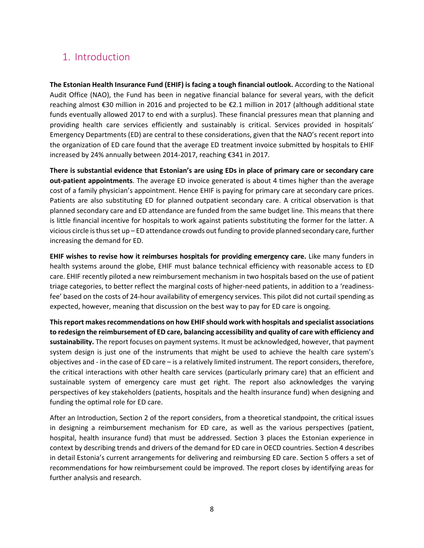# <span id="page-7-0"></span>1. Introduction

**The Estonian Health Insurance Fund (EHIF) is facing a tough financial outlook.** According to the National Audit Office (NAO), the Fund has been in negative financial balance for several years, with the deficit reaching almost €30 million in 2016 and projected to be €2.1 million in 2017 (although additional state funds eventually allowed 2017 to end with a surplus). These financial pressures mean that planning and providing health care services efficiently and sustainably is critical. Services provided in hospitals' Emergency Departments (ED) are central to these considerations, given that the NAO's recent report into the organization of ED care found that the average ED treatment invoice submitted by hospitals to EHIF increased by 24% annually between 2014-2017, reaching €341 in 2017.

**There is substantial evidence that Estonian's are using EDs in place of primary care or secondary care out-patient appointments**. The average ED invoice generated is about 4 times higher than the average cost of a family physician's appointment. Hence EHIF is paying for primary care at secondary care prices. Patients are also substituting ED for planned outpatient secondary care. A critical observation is that planned secondary care and ED attendance are funded from the same budget line. This means that there is little financial incentive for hospitals to work against patients substituting the former for the latter. A vicious circle is thus set up – ED attendance crowds out funding to provide planned secondary care, further increasing the demand for ED.

**EHIF wishes to revise how it reimburses hospitals for providing emergency care.** Like many funders in health systems around the globe, EHIF must balance technical efficiency with reasonable access to ED care. EHIF recently piloted a new reimbursement mechanism in two hospitals based on the use of patient triage categories, to better reflect the marginal costs of higher-need patients, in addition to a 'readinessfee' based on the costs of 24-hour availability of emergency services. This pilot did not curtail spending as expected, however, meaning that discussion on the best way to pay for ED care is ongoing.

**This report makes recommendations on how EHIF should work with hospitals and specialist associations to redesign the reimbursement of ED care, balancing accessibility and quality of care with efficiency and sustainability.** The report focuses on payment systems. It must be acknowledged, however, that payment system design is just one of the instruments that might be used to achieve the health care system's objectives and - in the case of ED care – is a relatively limited instrument. The report considers, therefore, the critical interactions with other health care services (particularly primary care) that an efficient and sustainable system of emergency care must get right. The report also acknowledges the varying perspectives of key stakeholders (patients, hospitals and the health insurance fund) when designing and funding the optimal role for ED care.

After an Introduction, Section 2 of the report considers, from a theoretical standpoint, the critical issues in designing a reimbursement mechanism for ED care, as well as the various perspectives (patient, hospital, health insurance fund) that must be addressed. Section 3 places the Estonian experience in context by describing trends and drivers of the demand for ED care in OECD countries. Section 4 describes in detail Estonia's current arrangements for delivering and reimbursing ED care. Section 5 offers a set of recommendations for how reimbursement could be improved. The report closes by identifying areas for further analysis and research.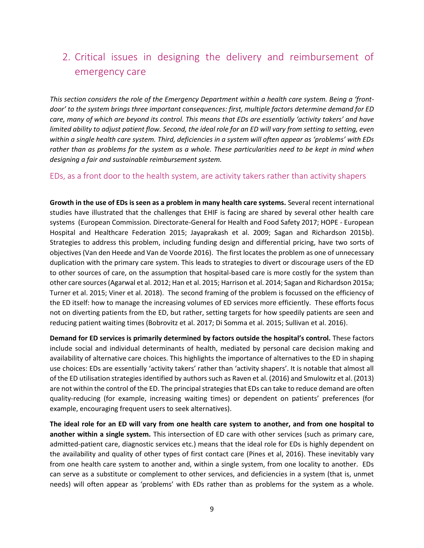# <span id="page-8-0"></span>2. Critical issues in designing the delivery and reimbursement of emergency care

*This section considers the role of the Emergency Department within a health care system. Being a 'frontdoor' to the system brings three important consequences: first, multiple factors determine demand for ED care, many of which are beyond its control. This means that EDs are essentially 'activity takers' and have limited ability to adjust patient flow. Second, the ideal role for an ED will vary from setting to setting, even within a single health care system. Third, deficiencies in a system will often appear as 'problems' with EDs rather than as problems for the system as a whole. These particularities need to be kept in mind when designing a fair and sustainable reimbursement system.*

<span id="page-8-1"></span>EDs, as a front door to the health system, are activity takers rather than activity shapers

**Growth in the use of EDs is seen as a problem in many health care systems.** Several recent international studies have illustrated that the challenges that EHIF is facing are shared by several other health care systems (European Commission. Directorate-General for Health and Food Safety 2017; HOPE - European Hospital and Healthcare Federation 2015; Jayaprakash et al. 2009; Sagan and Richardson 2015b). Strategies to address this problem, including funding design and differential pricing, have two sorts of objectives (Van den Heede and Van de Voorde 2016). The first locates the problem as one of unnecessary duplication with the primary care system. This leads to strategies to divert or discourage users of the ED to other sources of care, on the assumption that hospital-based care is more costly for the system than other care sources (Agarwal et al. 2012; Han et al. 2015; Harrison et al. 2014; Sagan and Richardson 2015a; Turner et al. 2015; Viner et al. 2018). The second framing of the problem is focussed on the efficiency of the ED itself: how to manage the increasing volumes of ED services more efficiently. These efforts focus not on diverting patients from the ED, but rather, setting targets for how speedily patients are seen and reducing patient waiting times (Bobrovitz et al. 2017; Di Somma et al. 2015; Sullivan et al. 2016).

**Demand for ED services is primarily determined by factors outside the hospital's control.** These factors include social and individual determinants of health, mediated by personal care decision making and availability of alternative care choices. This highlights the importance of alternatives to the ED in shaping use choices: EDs are essentially 'activity takers' rather than 'activity shapers'. It is notable that almost all of the ED utilisation strategies identified by authors such as Raven et al. (2016) and Smulowitz et al. (2013) are not within the control of the ED. The principal strategies that EDs can take to reduce demand are often quality-reducing (for example, increasing waiting times) or dependent on patients' preferences (for example, encouraging frequent users to seek alternatives).

**The ideal role for an ED will vary from one health care system to another, and from one hospital to another within a single system.** This intersection of ED care with other services (such as primary care, admitted-patient care, diagnostic services etc.) means that the ideal role for EDs is highly dependent on the availability and quality of other types of first contact care (Pines et al, 2016). These inevitably vary from one health care system to another and, within a single system, from one locality to another. EDs can serve as a substitute or complement to other services, and deficiencies in a system (that is, unmet needs) will often appear as 'problems' with EDs rather than as problems for the system as a whole.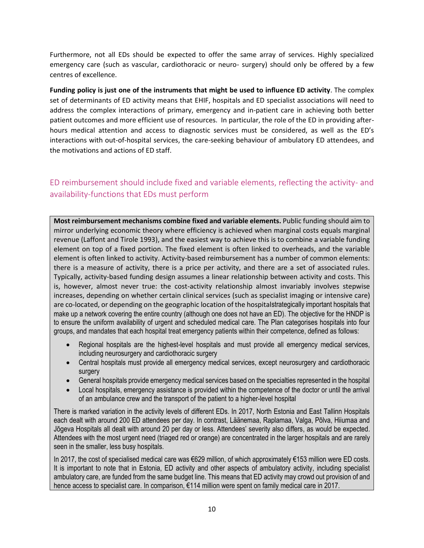Furthermore, not all EDs should be expected to offer the same array of services. Highly specialized emergency care (such as vascular, cardiothoracic or neuro- surgery) should only be offered by a few centres of excellence.

**Funding policy is just one of the instruments that might be used to influence ED activity**. The complex set of determinants of ED activity means that EHIF, hospitals and ED specialist associations will need to address the complex interactions of primary, emergency and in-patient care in achieving both better patient outcomes and more efficient use of resources. In particular, the role of the ED in providing afterhours medical attention and access to diagnostic services must be considered, as well as the ED's interactions with out-of-hospital services, the care-seeking behaviour of ambulatory ED attendees, and the motivations and actions of ED staff.

### <span id="page-9-0"></span>ED reimbursement should include fixed and variable elements, reflecting the activity- and availability-functions that EDs must perform

**Most reimbursement mechanisms combine fixed and variable elements.** Public funding should aim to mirror underlying economic theory where efficiency is achieved when marginal costs equals marginal revenue (Laffont and Tirole 1993), and the easiest way to achieve this is to combine a variable funding element on top of a fixed portion. The fixed element is often linked to overheads, and the variable element is often linked to activity. Activity-based reimbursement has a number of common elements: there is a measure of activity, there is a price per activity, and there are a set of associated rules. Typically, activity-based funding design assumes a linear relationship between activity and costs. This is, however, almost never true: the cost-activity relationship almost invariably involves stepwise increases, depending on whether certain clinical services (such as specialist imaging or intensive care) are co-located, or depending on the geographic location of the hospitalstrategically important hospitals that make up a network covering the entire country (although one does not have an ED). The objective for the HNDP is to ensure the uniform availability of urgent and scheduled medical care. The Plan categorises hospitals into four groups, and mandates that each hospital treat emergency patients within their competence, defined as follows:

- Regional hospitals are the highest-level hospitals and must provide all emergency medical services, including neurosurgery and cardiothoracic surgery
- Central hospitals must provide all emergency medical services, except neurosurgery and cardiothoracic surgery
- General hospitals provide emergency medical services based on the specialties represented in the hospital
- Local hospitals, emergency assistance is provided within the competence of the doctor or until the arrival of an ambulance crew and the transport of the patient to a higher-level hospital

There is marked variation in the activity levels of different EDs. In 2017, North Estonia and East Tallinn Hospitals each dealt with around 200 ED attendees per day. In contrast, Läänemaa, Raplamaa, Valga, Põlva, Hiiumaa and Jõgeva Hospitals all dealt with around 20 per day or less. Attendees' severity also differs, as would be expected. Attendees with the most urgent need (triaged red or orange) are concentrated in the larger hospitals and are rarely seen in the smaller, less busy hospitals.

In 2017, the cost of specialised medical care was €629 million, of which approximately €153 million were ED costs. It is important to note that in Estonia, ED activity and other aspects of ambulatory activity, including specialist ambulatory care, are funded from the same budget line. This means that ED activity may crowd out provision of and hence access to specialist care. In comparison, €114 million were spent on family medical care in 2017.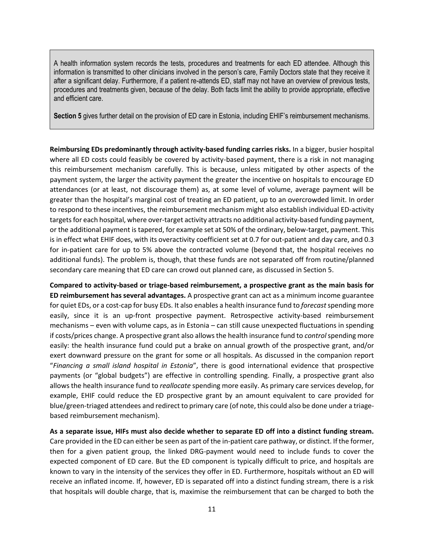A health information system records the tests, procedures and treatments for each ED attendee. Although this information is transmitted to other clinicians involved in the person's care, Family Doctors state that they receive it after a significant delay. Furthermore, if a patient re-attends ED, staff may not have an overview of previous tests, procedures and treatments given, because of the delay. Both facts limit the ability to provide appropriate, effective and efficient care.

**Section 5** gives further detail on the provision of ED care in Estonia, including EHIF's reimbursement mechanisms.

**Reimbursing EDs predominantly through activity-based funding carries risks.** In a bigger, busier hospital where all ED costs could feasibly be covered by activity-based payment, there is a risk in not managing this reimbursement mechanism carefully. This is because, unless mitigated by other aspects of the payment system, the larger the activity payment the greater the incentive on hospitals to encourage ED attendances (or at least, not discourage them) as, at some level of volume, average payment will be greater than the hospital's marginal cost of treating an ED patient, up to an overcrowded limit. In order to respond to these incentives, the reimbursement mechanism might also establish individual ED-activity targets for each hospital, where over-target activity attracts no additional activity-based funding payment, or the additional payment is tapered, for example set at 50% of the ordinary, below-target, payment. This is in effect what EHIF does, with its overactivity coefficient set at 0.7 for out-patient and day care, and 0.3 for in-patient care for up to 5% above the contracted volume (beyond that, the hospital receives no additional funds). The problem is, though, that these funds are not separated off from routine/planned secondary care meaning that ED care can crowd out planned care, as discussed in Section 5.

**Compared to activity-based or triage-based reimbursement, a prospective grant as the main basis for ED reimbursement has several advantages.** A prospective grant can act as a minimum income guarantee for quiet EDs, or a cost-cap for busy EDs. It also enables a health insurance fund to *forecast*spending more easily, since it is an up-front prospective payment. Retrospective activity-based reimbursement mechanisms – even with volume caps, as in Estonia – can still cause unexpected fluctuations in spending if costs/prices change. A prospective grant also allows the health insurance fund to *control* spending more easily: the health insurance fund could put a brake on annual growth of the prospective grant, and/or exert downward pressure on the grant for some or all hospitals. As discussed in the companion report "*Financing a small island hospital in Estonia*", there is good international evidence that prospective payments (or "global budgets") are effective in controlling spending. Finally, a prospective grant also allows the health insurance fund to *reallocate* spending more easily. As primary care services develop, for example, EHIF could reduce the ED prospective grant by an amount equivalent to care provided for blue/green-triaged attendees and redirect to primary care (of note, this could also be done under a triagebased reimbursement mechanism).

**As a separate issue, HIFs must also decide whether to separate ED off into a distinct funding stream.** Care provided in the ED can either be seen as part of the in-patient care pathway, or distinct. If the former, then for a given patient group, the linked DRG-payment would need to include funds to cover the expected component of ED care. But the ED component is typically difficult to price, and hospitals are known to vary in the intensity of the services they offer in ED. Furthermore, hospitals without an ED will receive an inflated income. If, however, ED is separated off into a distinct funding stream, there is a risk that hospitals will double charge, that is, maximise the reimbursement that can be charged to both the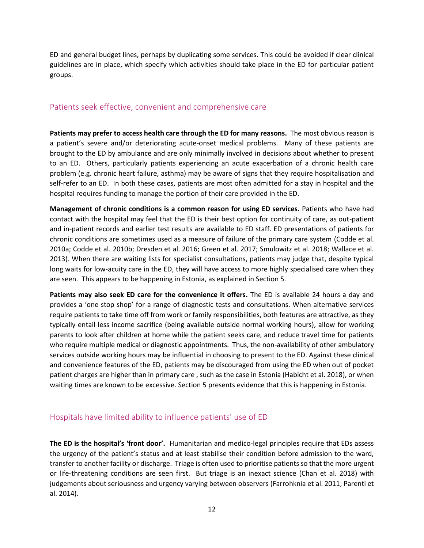ED and general budget lines, perhaps by duplicating some services. This could be avoided if clear clinical guidelines are in place, which specify which activities should take place in the ED for particular patient groups.

#### <span id="page-11-0"></span>Patients seek effective, convenient and comprehensive care

**Patients may prefer to access health care through the ED for many reasons.** The most obvious reason is a patient's severe and/or deteriorating acute-onset medical problems. Many of these patients are brought to the ED by ambulance and are only minimally involved in decisions about whether to present to an ED. Others, particularly patients experiencing an acute exacerbation of a chronic health care problem (e.g. chronic heart failure, asthma) may be aware of signs that they require hospitalisation and self-refer to an ED. In both these cases, patients are most often admitted for a stay in hospital and the hospital requires funding to manage the portion of their care provided in the ED.

**Management of chronic conditions is a common reason for using ED services.** Patients who have had contact with the hospital may feel that the ED is their best option for continuity of care, as out-patient and in-patient records and earlier test results are available to ED staff. ED presentations of patients for chronic conditions are sometimes used as a measure of failure of the primary care system (Codde et al. 2010a; Codde et al. 2010b; Dresden et al. 2016; Green et al. 2017; Smulowitz et al. 2018; Wallace et al. 2013). When there are waiting lists for specialist consultations, patients may judge that, despite typical long waits for low-acuity care in the ED, they will have access to more highly specialised care when they are seen. This appears to be happening in Estonia, as explained in Section 5.

**Patients may also seek ED care for the convenience it offers.** The ED is available 24 hours a day and provides a 'one stop shop' for a range of diagnostic tests and consultations. When alternative services require patients to take time off from work or family responsibilities, both features are attractive, as they typically entail less income sacrifice (being available outside normal working hours), allow for working parents to look after children at home while the patient seeks care, and reduce travel time for patients who require multiple medical or diagnostic appointments. Thus, the non-availability of other ambulatory services outside working hours may be influential in choosing to present to the ED. Against these clinical and convenience features of the ED, patients may be discouraged from using the ED when out of pocket patient charges are higher than in primary care , such as the case in Estonia (Habicht et al. 2018), or when waiting times are known to be excessive. Section 5 presents evidence that this is happening in Estonia.

#### <span id="page-11-1"></span>Hospitals have limited ability to influence patients' use of ED

**The ED is the hospital's 'front door'.** Humanitarian and medico-legal principles require that EDs assess the urgency of the patient's status and at least stabilise their condition before admission to the ward, transfer to another facility or discharge. Triage is often used to prioritise patients so that the more urgent or life-threatening conditions are seen first. But triage is an inexact science (Chan et al. 2018) with judgements about seriousness and urgency varying between observers (Farrohknia et al. 2011; Parenti et al. 2014).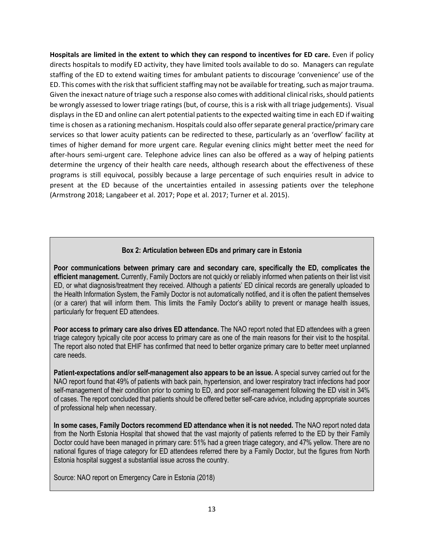**Hospitals are limited in the extent to which they can respond to incentives for ED care.** Even if policy directs hospitals to modify ED activity, they have limited tools available to do so. Managers can regulate staffing of the ED to extend waiting times for ambulant patients to discourage 'convenience' use of the ED. This comes with the risk that sufficient staffing may not be available for treating, such as major trauma. Given the inexact nature of triage such a response also comes with additional clinical risks, should patients be wrongly assessed to lower triage ratings (but, of course, this is a risk with all triage judgements). Visual displays in the ED and online can alert potential patients to the expected waiting time in each ED if waiting time is chosen as a rationing mechanism. Hospitals could also offer separate general practice/primary care services so that lower acuity patients can be redirected to these, particularly as an 'overflow' facility at times of higher demand for more urgent care. Regular evening clinics might better meet the need for after-hours semi-urgent care. Telephone advice lines can also be offered as a way of helping patients determine the urgency of their health care needs, although research about the effectiveness of these programs is still equivocal, possibly because a large percentage of such enquiries result in advice to present at the ED because of the uncertainties entailed in assessing patients over the telephone (Armstrong 2018; Langabeer et al. 2017; Pope et al. 2017; Turner et al. 2015).

#### **Box 2: Articulation between EDs and primary care in Estonia**

**Poor communications between primary care and secondary care, specifically the ED, complicates the efficient management.** Currently, Family Doctors are not quickly or reliably informed when patients on their list visit ED, or what diagnosis/treatment they received. Although a patients' ED clinical records are generally uploaded to the Health Information System, the Family Doctor is not automatically notified, and it is often the patient themselves (or a carer) that will inform them. This limits the Family Doctor's ability to prevent or manage health issues, particularly for frequent ED attendees.

**Poor access to primary care also drives ED attendance.** The NAO report noted that ED attendees with a green triage category typically cite poor access to primary care as one of the main reasons for their visit to the hospital. The report also noted that EHIF has confirmed that need to better organize primary care to better meet unplanned care needs.

**Patient-expectations and/or self-management also appears to be an issue.** A special survey carried out for the NAO report found that 49% of patients with back pain, hypertension, and lower respiratory tract infections had poor self-management of their condition prior to coming to ED, and poor self-management following the ED visit in 34% of cases. The report concluded that patients should be offered better self-care advice, including appropriate sources of professional help when necessary.

**In some cases, Family Doctors recommend ED attendance when it is not needed.** The NAO report noted data from the North Estonia Hospital that showed that the vast majority of patients referred to the ED by their Family Doctor could have been managed in primary care: 51% had a green triage category, and 47% yellow. There are no national figures of triage category for ED attendees referred there by a Family Doctor, but the figures from North Estonia hospital suggest a substantial issue across the country.

Source: NAO report on Emergency Care in Estonia (2018)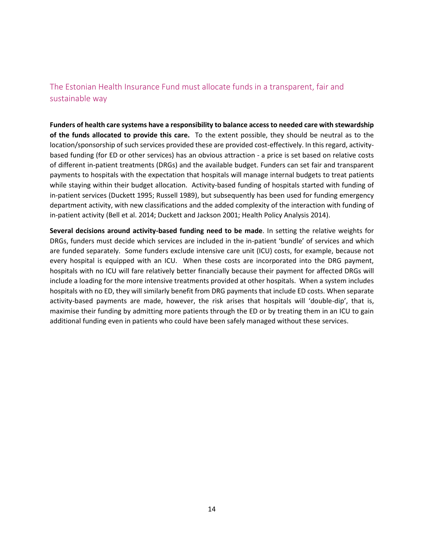### <span id="page-13-0"></span>The Estonian Health Insurance Fund must allocate funds in a transparent, fair and sustainable way

**Funders of health care systems have a responsibility to balance access to needed care with stewardship of the funds allocated to provide this care.** To the extent possible, they should be neutral as to the location/sponsorship of such services provided these are provided cost-effectively. In this regard, activitybased funding (for ED or other services) has an obvious attraction - a price is set based on relative costs of different in-patient treatments (DRGs) and the available budget. Funders can set fair and transparent payments to hospitals with the expectation that hospitals will manage internal budgets to treat patients while staying within their budget allocation. Activity-based funding of hospitals started with funding of in-patient services (Duckett 1995; Russell 1989), but subsequently has been used for funding emergency department activity, with new classifications and the added complexity of the interaction with funding of in-patient activity (Bell et al. 2014; Duckett and Jackson 2001; Health Policy Analysis 2014).

**Several decisions around activity-based funding need to be made**. In setting the relative weights for DRGs, funders must decide which services are included in the in-patient 'bundle' of services and which are funded separately. Some funders exclude intensive care unit (ICU) costs, for example, because not every hospital is equipped with an ICU. When these costs are incorporated into the DRG payment, hospitals with no ICU will fare relatively better financially because their payment for affected DRGs will include a loading for the more intensive treatments provided at other hospitals. When a system includes hospitals with no ED, they will similarly benefit from DRG payments that include ED costs. When separate activity-based payments are made, however, the risk arises that hospitals will 'double-dip', that is, maximise their funding by admitting more patients through the ED or by treating them in an ICU to gain additional funding even in patients who could have been safely managed without these services.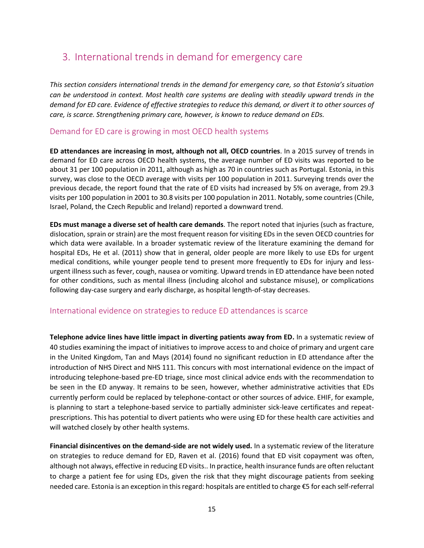# <span id="page-14-0"></span>3. International trends in demand for emergency care

*This section considers international trends in the demand for emergency care, so that Estonia's situation can be understood in context. Most health care systems are dealing with steadily upward trends in the demand for ED care. Evidence of effective strategies to reduce this demand, or divert it to other sources of care, is scarce. Strengthening primary care, however, is known to reduce demand on EDs.* 

#### <span id="page-14-1"></span>Demand for ED care is growing in most OECD health systems

**ED attendances are increasing in most, although not all, OECD countries**. In a 2015 survey of trends in demand for ED care across OECD health systems, the average number of ED visits was reported to be about 31 per 100 population in 2011, although as high as 70 in countries such as Portugal. Estonia, in this survey, was close to the OECD average with visits per 100 population in 2011. Surveying trends over the previous decade, the report found that the rate of ED visits had increased by 5% on average, from 29.3 visits per 100 population in 2001 to 30.8 visits per 100 population in 2011. Notably, some countries (Chile, Israel, Poland, the Czech Republic and Ireland) reported a downward trend.

**EDs must manage a diverse set of health care demands**. The report noted that injuries (such as fracture, dislocation, sprain or strain) are the most frequent reason for visiting EDs in the seven OECD countries for which data were available. In a broader systematic review of the literature examining the demand for hospital EDs, He et al. (2011) show that in general, older people are more likely to use EDs for urgent medical conditions, while younger people tend to present more frequently to EDs for injury and lessurgent illness such as fever, cough, nausea or vomiting. Upward trends in ED attendance have been noted for other conditions, such as mental illness (including alcohol and substance misuse), or complications following day-case surgery and early discharge, as hospital length-of-stay decreases.

#### <span id="page-14-2"></span>International evidence on strategies to reduce ED attendances is scarce

**Telephone advice lines have little impact in diverting patients away from ED.** In a systematic review of 40 studies examining the impact of initiatives to improve access to and choice of primary and urgent care in the United Kingdom, Tan and Mays (2014) found no significant reduction in ED attendance after the introduction of NHS Direct and NHS 111. This concurs with most international evidence on the impact of introducing telephone-based pre-ED triage, since most clinical advice ends with the recommendation to be seen in the ED anyway. It remains to be seen, however, whether administrative activities that EDs currently perform could be replaced by telephone-contact or other sources of advice. EHIF, for example, is planning to start a telephone-based service to partially administer sick-leave certificates and repeatprescriptions. This has potential to divert patients who were using ED for these health care activities and will watched closely by other health systems.

**Financial disincentives on the demand-side are not widely used.** In a systematic review of the literature on strategies to reduce demand for ED, Raven et al. (2016) found that ED visit copayment was often, although not always, effective in reducing ED visits.. In practice, health insurance funds are often reluctant to charge a patient fee for using EDs, given the risk that they might discourage patients from seeking needed care. Estonia is an exception in this regard: hospitals are entitled to charge €5 for each self-referral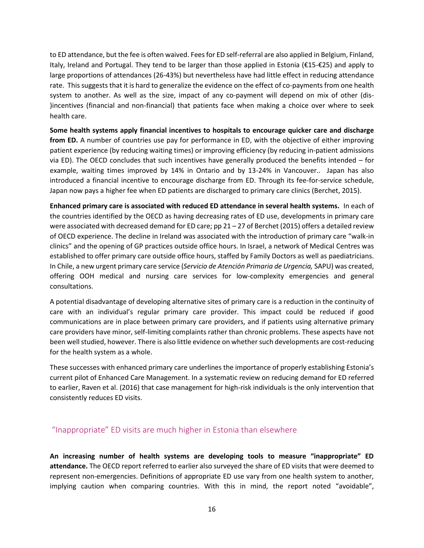to ED attendance, but the fee is often waived. Fees for ED self-referral are also applied in Belgium, Finland, Italy, Ireland and Portugal. They tend to be larger than those applied in Estonia (€15-€25) and apply to large proportions of attendances (26-43%) but nevertheless have had little effect in reducing attendance rate. This suggests that it is hard to generalize the evidence on the effect of co-payments from one health system to another. As well as the size, impact of any co-payment will depend on mix of other (dis- )incentives (financial and non-financial) that patients face when making a choice over where to seek health care.

**Some health systems apply financial incentives to hospitals to encourage quicker care and discharge from ED.** A number of countries use pay for performance in ED, with the objective of either improving patient experience (by reducing waiting times) or improving efficiency (by reducing in-patient admissions via ED). The OECD concludes that such incentives have generally produced the benefits intended – for example, waiting times improved by 14% in Ontario and by 13-24% in Vancouver.. Japan has also introduced a financial incentive to encourage discharge from ED. Through its fee-for-service schedule, Japan now pays a higher fee when ED patients are discharged to primary care clinics (Berchet, 2015).

**Enhanced primary care is associated with reduced ED attendance in several health systems.** In each of the countries identified by the OECD as having decreasing rates of ED use, developments in primary care were associated with decreased demand for ED care; pp 21 – 27 of Berchet (2015) offers a detailed review of OECD experience. The decline in Ireland was associated with the introduction of primary care "walk-in clinics" and the opening of GP practices outside office hours. In Israel, a network of Medical Centres was established to offer primary care outside office hours, staffed by Family Doctors as well as paediatricians. In Chile, a new urgent primary care service (*Servicio de Atención Primaria de Urgencia,* SAPU) was created, offering OOH medical and nursing care services for low-complexity emergencies and general consultations.

A potential disadvantage of developing alternative sites of primary care is a reduction in the continuity of care with an individual's regular primary care provider. This impact could be reduced if good communications are in place between primary care providers, and if patients using alternative primary care providers have minor, self-limiting complaints rather than chronic problems. These aspects have not been well studied, however. There is also little evidence on whether such developments are cost-reducing for the health system as a whole.

These successes with enhanced primary care underlines the importance of properly establishing Estonia's current pilot of Enhanced Care Management. In a systematic review on reducing demand for ED referred to earlier, Raven et al. (2016) that case management for high-risk individuals is the only intervention that consistently reduces ED visits.

#### <span id="page-15-0"></span>"Inappropriate" ED visits are much higher in Estonia than elsewhere

**An increasing number of health systems are developing tools to measure "inappropriate" ED attendance.** The OECD report referred to earlier also surveyed the share of ED visits that were deemed to represent non-emergencies. Definitions of appropriate ED use vary from one health system to another, implying caution when comparing countries. With this in mind, the report noted "avoidable",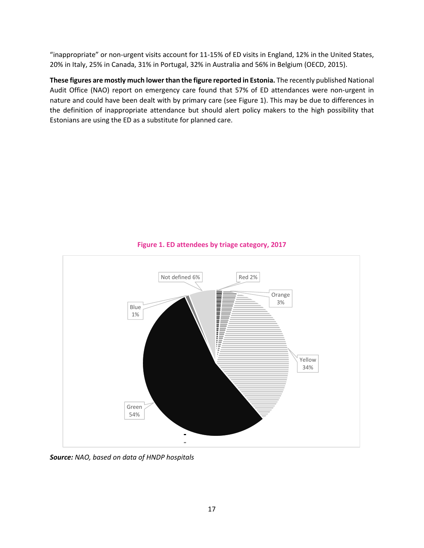"inappropriate" or non-urgent visits account for 11-15% of ED visits in England, 12% in the United States, 20% in Italy, 25% in Canada, 31% in Portugal, 32% in Australia and 56% in Belgium (OECD, 2015).

**These figures are mostly much lower than the figure reported in Estonia.** The recently published National Audit Office (NAO) report on emergency care found that 57% of ED attendances were non-urgent in nature and could have been dealt with by primary care (see Figure 1). This may be due to differences in the definition of inappropriate attendance but should alert policy makers to the high possibility that Estonians are using the ED as a substitute for planned care.



#### **Figure 1. ED attendees by triage category, 2017**

*Source: NAO, based on data of HNDP hospitals*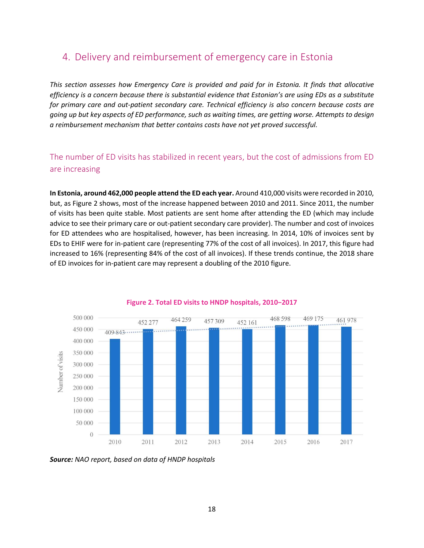## <span id="page-17-0"></span>4. Delivery and reimbursement of emergency care in Estonia

*This section assesses how Emergency Care is provided and paid for in Estonia. It finds that allocative efficiency is a concern because there is substantial evidence that Estonian's are using EDs as a substitute for primary care and out-patient secondary care. Technical efficiency is also concern because costs are going up but key aspects of ED performance, such as waiting times, are getting worse. Attempts to design a reimbursement mechanism that better contains costs have not yet proved successful.* 

### <span id="page-17-1"></span>The number of ED visits has stabilized in recent years, but the cost of admissions from ED are increasing

**In Estonia, around 462,000 people attend the ED each year.** Around 410,000 visits were recorded in 2010, but, as Figure 2 shows, most of the increase happened between 2010 and 2011. Since 2011, the number of visits has been quite stable. Most patients are sent home after attending the ED (which may include advice to see their primary care or out-patient secondary care provider). The number and cost of invoices for ED attendees who are hospitalised, however, has been increasing. In 2014, 10% of invoices sent by EDs to EHIF were for in-patient care (representing 77% of the cost of all invoices). In 2017, this figure had increased to 16% (representing 84% of the cost of all invoices). If these trends continue, the 2018 share of ED invoices for in-patient care may represent a doubling of the 2010 figure.



#### **Figure 2. Total ED visits to HNDP hospitals, 2010−2017**

*Source: NAO report, based on data of HNDP hospitals*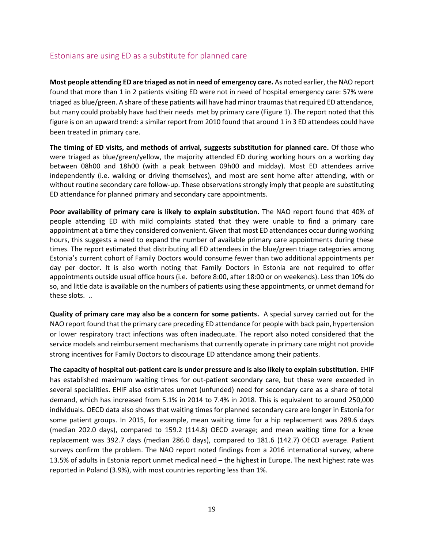#### <span id="page-18-0"></span>Estonians are using ED as a substitute for planned care

**Most people attending ED are triaged as not in need of emergency care.** As noted earlier, the NAO report found that more than 1 in 2 patients visiting ED were not in need of hospital emergency care: 57% were triaged as blue/green. A share of these patients will have had minor traumas that required ED attendance, but many could probably have had their needs met by primary care (Figure 1). The report noted that this figure is on an upward trend: a similar report from 2010 found that around 1 in 3 ED attendees could have been treated in primary care.

**The timing of ED visits, and methods of arrival, suggests substitution for planned care.** Of those who were triaged as blue/green/yellow, the majority attended ED during working hours on a working day between 08h00 and 18h00 (with a peak between 09h00 and midday). Most ED attendees arrive independently (i.e. walking or driving themselves), and most are sent home after attending, with or without routine secondary care follow-up. These observations strongly imply that people are substituting ED attendance for planned primary and secondary care appointments.

**Poor availability of primary care is likely to explain substitution.** The NAO report found that 40% of people attending ED with mild complaints stated that they were unable to find a primary care appointment at a time they considered convenient. Given that most ED attendances occur during working hours, this suggests a need to expand the number of available primary care appointments during these times. The report estimated that distributing all ED attendees in the blue/green triage categories among Estonia's current cohort of Family Doctors would consume fewer than two additional appointments per day per doctor. It is also worth noting that Family Doctors in Estonia are not required to offer appointments outside usual office hours (i.e. before 8:00, after 18:00 or on weekends). Less than 10% do so, and little data is available on the numbers of patients using these appointments, or unmet demand for these slots. ..

**Quality of primary care may also be a concern for some patients.** A special survey carried out for the NAO report found that the primary care preceding ED attendance for people with back pain, hypertension or lower respiratory tract infections was often inadequate. The report also noted considered that the service models and reimbursement mechanisms that currently operate in primary care might not provide strong incentives for Family Doctors to discourage ED attendance among their patients.

**The capacity of hospital out-patient care is under pressure and is also likely to explain substitution.** EHIF has established maximum waiting times for out-patient secondary care, but these were exceeded in several specialities. EHIF also estimates unmet (unfunded) need for secondary care as a share of total demand, which has increased from 5.1% in 2014 to 7.4% in 2018. This is equivalent to around 250,000 individuals. OECD data also shows that waiting times for planned secondary care are longer in Estonia for some patient groups. In 2015, for example, mean waiting time for a hip replacement was 289.6 days (median 202.0 days), compared to 159.2 (114.8) OECD average; and mean waiting time for a knee replacement was 392.7 days (median 286.0 days), compared to 181.6 (142.7) OECD average. Patient surveys confirm the problem. The NAO report noted findings from a 2016 international survey, where 13.5% of adults in Estonia report unmet medical need – the highest in Europe. The next highest rate was reported in Poland (3.9%), with most countries reporting less than 1%.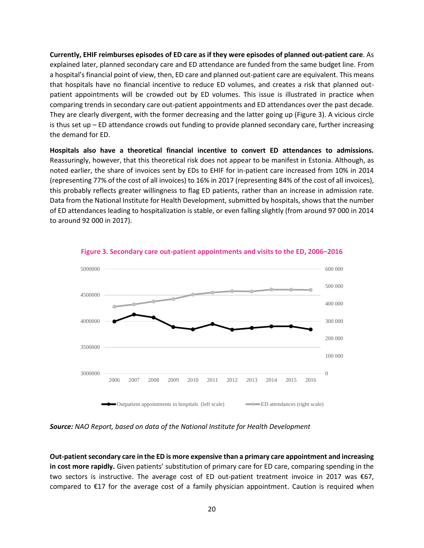**Currently, EHIF reimburses episodes of ED care as if they were episodes of planned out-patient care**. As explained later, planned secondary care and ED attendance are funded from the same budget line. From a hospital's financial point of view, then, ED care and planned out-patient care are equivalent. This means that hospitals have no financial incentive to reduce ED volumes, and creates a risk that planned outpatient appointments will be crowded out by ED volumes. This issue is illustrated in practice when comparing trends in secondary care out-patient appointments and ED attendances over the past decade. They are clearly divergent, with the former decreasing and the latter going up (Figure 3). A vicious circle is thus set up – ED attendance crowds out funding to provide planned secondary care, further increasing the demand for ED.

**Hospitals also have a theoretical financial incentive to convert ED attendances to admissions.** Reassuringly, however, that this theoretical risk does not appear to be manifest in Estonia. Although, as noted earlier, the share of invoices sent by EDs to EHIF for in-patient care increased from 10% in 2014 (representing 77% of the cost of all invoices) to 16% in 2017 (representing 84% of the cost of all invoices), this probably reflects greater willingness to flag ED patients, rather than an increase in admission rate. Data from the National Institute for Health Development, submitted by hospitals, shows that the number of ED attendances leading to hospitalization is stable, or even falling slightly (from around 97 000 in 2014 to around 92 000 in 2017).



**Figure 3. Secondary care out-patient appointments and visits to the ED, 2006–2016**

*Source: NAO Report, based on data of the National Institute for Health Development*

**Out-patient secondary care in the ED is more expensive than a primary care appointment and increasing in cost more rapidly.** Given patients' substitution of primary care for ED care, comparing spending in the two sectors is instructive. The average cost of ED out-patient treatment invoice in 2017 was €67, compared to €17 for the average cost of a family physician appointment. Caution is required when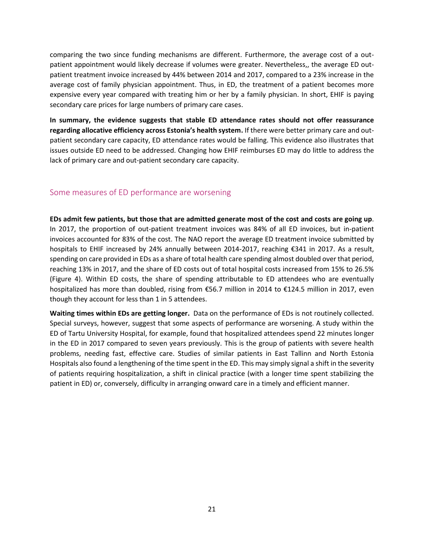comparing the two since funding mechanisms are different. Furthermore, the average cost of a outpatient appointment would likely decrease if volumes were greater. Nevertheless,, the average ED outpatient treatment invoice increased by 44% between 2014 and 2017, compared to a 23% increase in the average cost of family physician appointment. Thus, in ED, the treatment of a patient becomes more expensive every year compared with treating him or her by a family physician. In short, EHIF is paying secondary care prices for large numbers of primary care cases.

**In summary, the evidence suggests that stable ED attendance rates should not offer reassurance regarding allocative efficiency across Estonia's health system.** If there were better primary care and outpatient secondary care capacity, ED attendance rates would be falling. This evidence also illustrates that issues outside ED need to be addressed. Changing how EHIF reimburses ED may do little to address the lack of primary care and out-patient secondary care capacity.

#### <span id="page-20-0"></span>Some measures of ED performance are worsening

**EDs admit few patients, but those that are admitted generate most of the cost and costs are going up**. In 2017, the proportion of out-patient treatment invoices was 84% of all ED invoices, but in-patient invoices accounted for 83% of the cost. The NAO report the average ED treatment invoice submitted by hospitals to EHIF increased by 24% annually between 2014-2017, reaching €341 in 2017. As a result, spending on care provided in EDs as a share of total health care spending almost doubled over that period, reaching 13% in 2017, and the share of ED costs out of total hospital costs increased from 15% to 26.5% (Figure 4). Within ED costs, the share of spending attributable to ED attendees who are eventually hospitalized has more than doubled, rising from €56.7 million in 2014 to €124.5 million in 2017, even though they account for less than 1 in 5 attendees.

**Waiting times within EDs are getting longer.** Data on the performance of EDs is not routinely collected. Special surveys, however, suggest that some aspects of performance are worsening. A study within the ED of Tartu University Hospital, for example, found that hospitalized attendees spend 22 minutes longer in the ED in 2017 compared to seven years previously. This is the group of patients with severe health problems, needing fast, effective care. Studies of similar patients in East Tallinn and North Estonia Hospitals also found a lengthening of the time spent in the ED. This may simply signal a shift in the severity of patients requiring hospitalization, a shift in clinical practice (with a longer time spent stabilizing the patient in ED) or, conversely, difficulty in arranging onward care in a timely and efficient manner.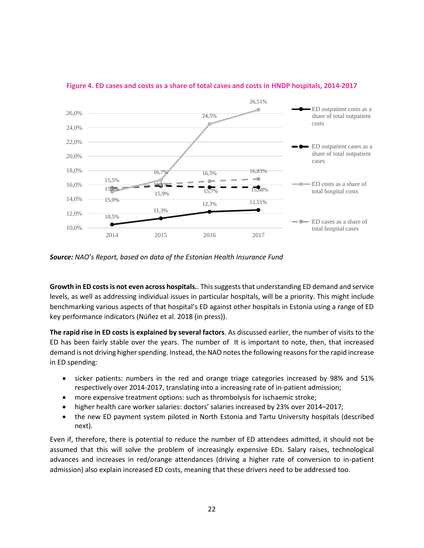

#### **Figure 4. ED cases and costs as a share of total cases and costs in HNDP hospitals, 2014-2017**

*Source: NAO's Report, based on data of the Estonian Health Insurance Fund*

**Growth in ED costs is not even across hospitals.**. This suggests that understanding ED demand and service levels, as well as addressing individual issues in particular hospitals, will be a priority. This might include benchmarking various aspects of that hospital's ED against other hospitals in Estonia using a range of ED key performance indicators (Núñez et al. 2018 (in press)).

**The rapid rise in ED costs is explained by several factors**. As discussed earlier, the number of visits to the ED has been fairly stable over the years. The number of It is important to note, then, that increased demand is not driving higher spending. Instead, the NAO notesthe following reasons for the rapid increase in ED spending:

- sicker patients: numbers in the red and orange triage categories increased by 98% and 51% respectively over 2014-2017, translating into a increasing rate of in-patient admission;
- more expensive treatment options: such as thrombolysis for ischaemic stroke;
- higher health care worker salaries: doctors' salaries increased by 23% over 2014–2017;
- the new ED payment system piloted in North Estonia and Tartu University hospitals (described next).

Even if, therefore, there is potential to reduce the number of ED attendees admitted, it should not be assumed that this will solve the problem of increasingly expensive EDs. Salary raises, technological advances and increases in red/orange attendances (driving a higher rate of conversion to in-patient admission) also explain increased ED costs, meaning that these drivers need to be addressed too.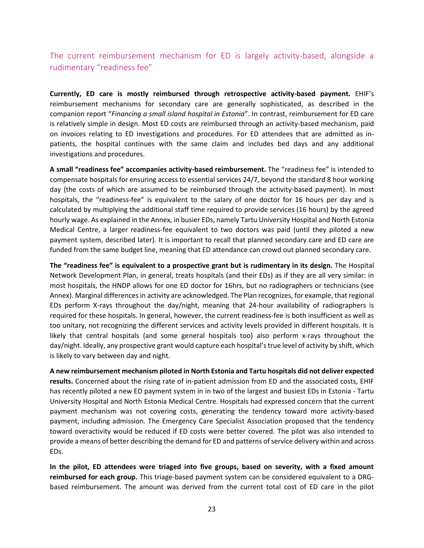<span id="page-22-0"></span>The current reimbursement mechanism for ED is largely activity-based, alongside a rudimentary "readiness fee"

**Currently, ED care is mostly reimbursed through retrospective activity-based payment.** EHIF's reimbursement mechanisms for secondary care are generally sophisticated, as described in the companion report "*Financing a small island hospital in Estonia*". In contrast, reimbursement for ED care is relatively simple in design. Most ED costs are reimbursed through an activity-based mechanism, paid on invoices relating to ED investigations and procedures. For ED attendees that are admitted as inpatients, the hospital continues with the same claim and includes bed days and any additional investigations and procedures.

**A small "readiness fee" accompanies activity-based reimbursement.** The "readiness fee" is intended to compensate hospitals for ensuring access to essential services 24/7, beyond the standard 8 hour working day (the costs of which are assumed to be reimbursed through the activity-based payment). In most hospitals, the "readiness-fee" is equivalent to the salary of one doctor for 16 hours per day and is calculated by multiplying the additional staff time required to provide services (16 hours) by the agreed hourly wage. As explained in the Annex, in busier EDs, namely Tartu University Hospital and North Estonia Medical Centre, a larger readiness-fee equivalent to two doctors was paid (until they piloted a new payment system, described later). It is important to recall that planned secondary care and ED care are funded from the same budget line, meaning that ED attendance can crowd out planned secondary care.

**The "readiness fee" is equivalent to a prospective grant but is rudimentary in its design.** The Hospital Network Development Plan, in general, treats hospitals (and their EDs) as if they are all very similar: in most hospitals, the HNDP allows for one ED doctor for 16hrs, but no radiographers or technicians (see Annex). Marginal differences in activity are acknowledged. The Plan recognizes, for example, that regional EDs perform X-rays throughout the day/night, meaning that 24-hour availability of radiographers is required for these hospitals. In general, however, the current readiness-fee is both insufficient as well as too unitary, not recognizing the different services and activity levels provided in different hospitals. It is likely that central hospitals (and some general hospitals too) also perform x-rays throughout the day/night. Ideally, any prospective grant would capture each hospital's true level of activity by shift, which is likely to vary between day and night.

**A new reimbursement mechanism piloted in North Estonia and Tartu hospitals did not deliver expected results.** Concerned about the rising rate of in-patient admission from ED and the associated costs, EHIF has recently piloted a new ED payment system in in two of the largest and busiest EDs in Estonia - Tartu University Hospital and North Estonia Medical Centre. Hospitals had expressed concern that the current payment mechanism was not covering costs, generating the tendency toward more activity-based payment, including admission. The Emergency Care Specialist Association proposed that the tendency toward overactivity would be reduced if ED costs were better covered. The pilot was also intended to provide a means of better describing the demand for ED and patterns of service delivery within and across EDs.

**In the pilot, ED attendees were triaged into five groups, based on severity, with a fixed amount reimbursed for each group.** This triage-based payment system can be considered equivalent to a DRGbased reimbursement. The amount was derived from the current total cost of ED care in the pilot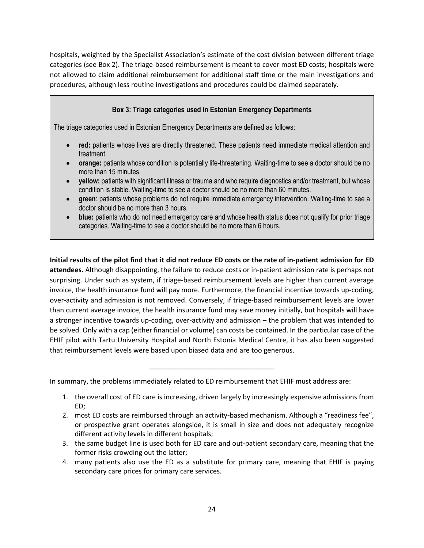hospitals, weighted by the Specialist Association's estimate of the cost division between different triage categories (see Box 2). The triage-based reimbursement is meant to cover most ED costs; hospitals were not allowed to claim additional reimbursement for additional staff time or the main investigations and procedures, although less routine investigations and procedures could be claimed separately.

#### **Box 3: Triage categories used in Estonian Emergency Departments**

The triage categories used in Estonian Emergency Departments are defined as follows:

- **red:** patients whose lives are directly threatened. These patients need immediate medical attention and treatment.
- **orange:** patients whose condition is potentially life-threatening. Waiting-time to see a doctor should be no more than 15 minutes.
- **yellow:** patients with significant illness or trauma and who require diagnostics and/or treatment, but whose condition is stable. Waiting-time to see a doctor should be no more than 60 minutes.
- **green**: patients whose problems do not require immediate emergency intervention. Waiting-time to see a doctor should be no more than 3 hours.
- **blue:** patients who do not need emergency care and whose health status does not qualify for prior triage categories. Waiting-time to see a doctor should be no more than 6 hours.

**Initial results of the pilot find that it did not reduce ED costs or the rate of in-patient admission for ED attendees.** Although disappointing, the failure to reduce costs or in-patient admission rate is perhaps not surprising. Under such as system, if triage-based reimbursement levels are higher than current average invoice, the health insurance fund will pay more. Furthermore, the financial incentive towards up-coding, over-activity and admission is not removed. Conversely, if triage-based reimbursement levels are lower than current average invoice, the health insurance fund may save money initially, but hospitals will have a stronger incentive towards up-coding, over-activity and admission – the problem that was intended to be solved. Only with a cap (either financial or volume) can costs be contained. In the particular case of the EHIF pilot with Tartu University Hospital and North Estonia Medical Centre, it has also been suggested that reimbursement levels were based upon biased data and are too generous.

\_\_\_\_\_\_\_\_\_\_\_\_\_\_\_\_\_\_\_\_\_\_\_\_\_\_\_\_\_\_\_\_\_

In summary, the problems immediately related to ED reimbursement that EHIF must address are:

- 1. the overall cost of ED care is increasing, driven largely by increasingly expensive admissions from ED;
- 2. most ED costs are reimbursed through an activity-based mechanism. Although a "readiness fee", or prospective grant operates alongside, it is small in size and does not adequately recognize different activity levels in different hospitals;
- 3. the same budget line is used both for ED care and out-patient secondary care, meaning that the former risks crowding out the latter;
- 4. many patients also use the ED as a substitute for primary care, meaning that EHIF is paying secondary care prices for primary care services.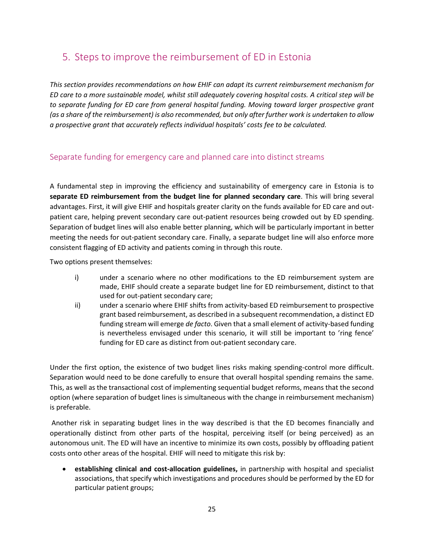# <span id="page-24-0"></span>5. Steps to improve the reimbursement of ED in Estonia

*This section provides recommendations on how EHIF can adapt its current reimbursement mechanism for ED care to a more sustainable model, whilst still adequately covering hospital costs. A critical step will be to separate funding for ED care from general hospital funding. Moving toward larger prospective grant (as a share of the reimbursement) is also recommended, but only after further work is undertaken to allow a prospective grant that accurately reflects individual hospitals' costs fee to be calculated.*

### <span id="page-24-1"></span>Separate funding for emergency care and planned care into distinct streams

A fundamental step in improving the efficiency and sustainability of emergency care in Estonia is to **separate ED reimbursement from the budget line for planned secondary care**. This will bring several advantages. First, it will give EHIF and hospitals greater clarity on the funds available for ED care and outpatient care, helping prevent secondary care out-patient resources being crowded out by ED spending. Separation of budget lines will also enable better planning, which will be particularly important in better meeting the needs for out-patient secondary care. Finally, a separate budget line will also enforce more consistent flagging of ED activity and patients coming in through this route.

Two options present themselves:

- i) under a scenario where no other modifications to the ED reimbursement system are made, EHIF should create a separate budget line for ED reimbursement, distinct to that used for out-patient secondary care;
- ii) under a scenario where EHIF shifts from activity-based ED reimbursement to prospective grant based reimbursement, as described in a subsequent recommendation, a distinct ED funding stream will emerge *de facto*. Given that a small element of activity-based funding is nevertheless envisaged under this scenario, it will still be important to 'ring fence' funding for ED care as distinct from out-patient secondary care.

Under the first option, the existence of two budget lines risks making spending-control more difficult. Separation would need to be done carefully to ensure that overall hospital spending remains the same. This, as well as the transactional cost of implementing sequential budget reforms, means that the second option (where separation of budget lines is simultaneous with the change in reimbursement mechanism) is preferable.

Another risk in separating budget lines in the way described is that the ED becomes financially and operationally distinct from other parts of the hospital, perceiving itself (or being perceived) as an autonomous unit. The ED will have an incentive to minimize its own costs, possibly by offloading patient costs onto other areas of the hospital. EHIF will need to mitigate this risk by:

• **establishing clinical and cost-allocation guidelines,** in partnership with hospital and specialist associations, that specify which investigations and procedures should be performed by the ED for particular patient groups;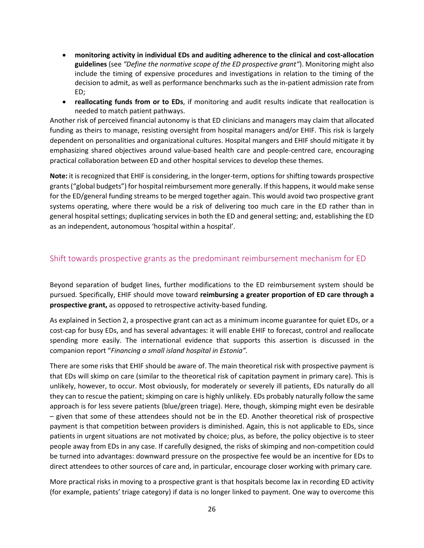- **monitoring activity in individual EDs and auditing adherence to the clinical and cost-allocation guidelines** (see *"Define the normative scope of the ED prospective grant"*). Monitoring might also include the timing of expensive procedures and investigations in relation to the timing of the decision to admit, as well as performance benchmarks such as the in-patient admission rate from ED;
- **reallocating funds from or to EDs**, if monitoring and audit results indicate that reallocation is needed to match patient pathways.

Another risk of perceived financial autonomy is that ED clinicians and managers may claim that allocated funding as theirs to manage, resisting oversight from hospital managers and/or EHIF. This risk is largely dependent on personalities and organizational cultures. Hospital mangers and EHIF should mitigate it by emphasizing shared objectives around value-based health care and people-centred care, encouraging practical collaboration between ED and other hospital services to develop these themes.

**Note:** it is recognized that EHIF is considering, in the longer-term, options for shifting towards prospective grants ("global budgets") for hospital reimbursement more generally. If this happens, it would make sense for the ED/general funding streams to be merged together again. This would avoid two prospective grant systems operating, where there would be a risk of delivering too much care in the ED rather than in general hospital settings; duplicating services in both the ED and general setting; and, establishing the ED as an independent, autonomous 'hospital within a hospital'.

### <span id="page-25-0"></span>Shift towards prospective grants as the predominant reimbursement mechanism for ED

Beyond separation of budget lines, further modifications to the ED reimbursement system should be pursued. Specifically, EHIF should move toward **reimbursing a greater proportion of ED care through a prospective grant,** as opposed to retrospective activity-based funding.

As explained in Section 2, a prospective grant can act as a minimum income guarantee for quiet EDs, or a cost-cap for busy EDs, and has several advantages: it will enable EHIF to forecast, control and reallocate spending more easily. The international evidence that supports this assertion is discussed in the companion report "*Financing a small island hospital in Estonia".*

There are some risks that EHIF should be aware of. The main theoretical risk with prospective payment is that EDs will skimp on care (similar to the theoretical risk of capitation payment in primary care). This is unlikely, however, to occur. Most obviously, for moderately or severely ill patients, EDs naturally do all they can to rescue the patient; skimping on care is highly unlikely. EDs probably naturally follow the same approach is for less severe patients (blue/green triage). Here, though, skimping might even be desirable – given that some of these attendees should not be in the ED. Another theoretical risk of prospective payment is that competition between providers is diminished. Again, this is not applicable to EDs, since patients in urgent situations are not motivated by choice; plus, as before, the policy objective is to steer people away from EDs in any case. If carefully designed, the risks of skimping and non-competition could be turned into advantages: downward pressure on the prospective fee would be an incentive for EDs to direct attendees to other sources of care and, in particular, encourage closer working with primary care.

More practical risks in moving to a prospective grant is that hospitals become lax in recording ED activity (for example, patients' triage category) if data is no longer linked to payment. One way to overcome this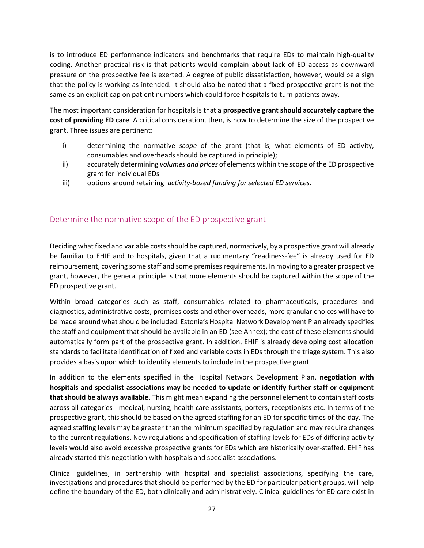is to introduce ED performance indicators and benchmarks that require EDs to maintain high-quality coding. Another practical risk is that patients would complain about lack of ED access as downward pressure on the prospective fee is exerted. A degree of public dissatisfaction, however, would be a sign that the policy is working as intended. It should also be noted that a fixed prospective grant is not the same as an explicit cap on patient numbers which could force hospitals to turn patients away.

The most important consideration for hospitals is that a **prospective grant should accurately capture the cost of providing ED care**. A critical consideration, then, is how to determine the size of the prospective grant. Three issues are pertinent:

- i) determining the normative *scope* of the grant (that is, what elements of ED activity, consumables and overheads should be captured in principle);
- ii) accurately determining *volumes and prices* of elements within the scope of the ED prospective grant for individual EDs
- iii) options around retaining *activity-based funding for selected ED services.*

#### <span id="page-26-0"></span>Determine the normative scope of the ED prospective grant

Deciding what fixed and variable costs should be captured, normatively, by a prospective grant will already be familiar to EHIF and to hospitals, given that a rudimentary "readiness-fee" is already used for ED reimbursement, covering some staff and some premises requirements. In moving to a greater prospective grant, however, the general principle is that more elements should be captured within the scope of the ED prospective grant.

Within broad categories such as staff, consumables related to pharmaceuticals, procedures and diagnostics, administrative costs, premises costs and other overheads, more granular choices will have to be made around what should be included. Estonia's Hospital Network Development Plan already specifies the staff and equipment that should be available in an ED (see Annex); the cost of these elements should automatically form part of the prospective grant. In addition, EHIF is already developing cost allocation standards to facilitate identification of fixed and variable costs in EDs through the triage system. This also provides a basis upon which to identify elements to include in the prospective grant.

In addition to the elements specified in the Hospital Network Development Plan, **negotiation with hospitals and specialist associations may be needed to update or identify further staff or equipment that should be always available.** This might mean expanding the personnel element to contain staff costs across all categories - medical, nursing, health care assistants, porters, receptionists etc. In terms of the prospective grant, this should be based on the agreed staffing for an ED for specific times of the day. The agreed staffing levels may be greater than the minimum specified by regulation and may require changes to the current regulations. New regulations and specification of staffing levels for EDs of differing activity levels would also avoid excessive prospective grants for EDs which are historically over-staffed. EHIF has already started this negotiation with hospitals and specialist associations.

Clinical guidelines, in partnership with hospital and specialist associations, specifying the care, investigations and procedures that should be performed by the ED for particular patient groups, will help define the boundary of the ED, both clinically and administratively. Clinical guidelines for ED care exist in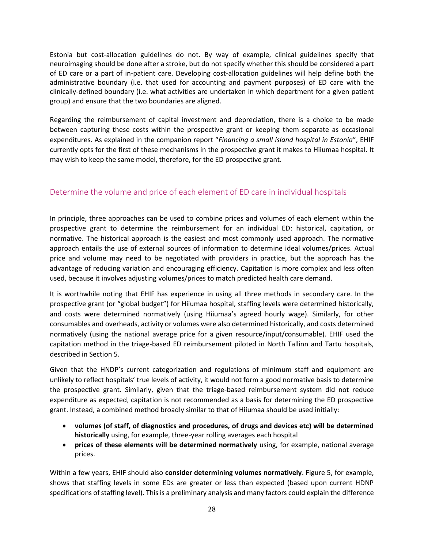Estonia but cost-allocation guidelines do not. By way of example, clinical guidelines specify that neuroimaging should be done after a stroke, but do not specify whether this should be considered a part of ED care or a part of in-patient care. Developing cost-allocation guidelines will help define both the administrative boundary (i.e. that used for accounting and payment purposes) of ED care with the clinically-defined boundary (i.e. what activities are undertaken in which department for a given patient group) and ensure that the two boundaries are aligned.

Regarding the reimbursement of capital investment and depreciation, there is a choice to be made between capturing these costs within the prospective grant or keeping them separate as occasional expenditures. As explained in the companion report "*Financing a small island hospital in Estonia*", EHIF currently opts for the first of these mechanisms in the prospective grant it makes to Hiiumaa hospital. It may wish to keep the same model, therefore, for the ED prospective grant.

### <span id="page-27-0"></span>Determine the volume and price of each element of ED care in individual hospitals

In principle, three approaches can be used to combine prices and volumes of each element within the prospective grant to determine the reimbursement for an individual ED: historical, capitation, or normative. The historical approach is the easiest and most commonly used approach. The normative approach entails the use of external sources of information to determine ideal volumes/prices. Actual price and volume may need to be negotiated with providers in practice, but the approach has the advantage of reducing variation and encouraging efficiency. Capitation is more complex and less often used, because it involves adjusting volumes/prices to match predicted health care demand.

It is worthwhile noting that EHIF has experience in using all three methods in secondary care. In the prospective grant (or "global budget") for Hiiumaa hospital, staffing levels were determined historically, and costs were determined normatively (using Hiiumaa's agreed hourly wage). Similarly, for other consumables and overheads, activity or volumes were also determined historically, and costs determined normatively (using the national average price for a given resource/input/consumable). EHIF used the capitation method in the triage-based ED reimbursement piloted in North Tallinn and Tartu hospitals, described in Section 5.

Given that the HNDP's current categorization and regulations of minimum staff and equipment are unlikely to reflect hospitals' true levels of activity, it would not form a good normative basis to determine the prospective grant. Similarly, given that the triage-based reimbursement system did not reduce expenditure as expected, capitation is not recommended as a basis for determining the ED prospective grant. Instead, a combined method broadly similar to that of Hiiumaa should be used initially:

- **volumes (of staff, of diagnostics and procedures, of drugs and devices etc) will be determined historically** using, for example, three-year rolling averages each hospital
- **prices of these elements will be determined normatively** using, for example, national average prices.

Within a few years, EHIF should also **consider determining volumes normatively**. Figure 5, for example, shows that staffing levels in some EDs are greater or less than expected (based upon current HDNP specifications of staffing level). This is a preliminary analysis and many factors could explain the difference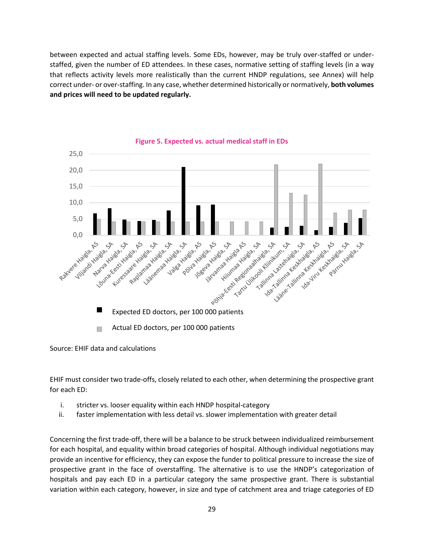between expected and actual staffing levels. Some EDs, however, may be truly over-staffed or understaffed, given the number of ED attendees. In these cases, normative setting of staffing levels (in a way that reflects activity levels more realistically than the current HNDP regulations, see Annex) will help correct under- or over-staffing. In any case, whether determined historically or normatively, **both volumes and prices will need to be updated regularly.**



**Figure 5. Expected vs. actual medical staff in EDs**

Source: EHIF data and calculations

EHIF must consider two trade-offs, closely related to each other, when determining the prospective grant for each ED:

- i. stricter vs. looser equality within each HNDP hospital-category
- ii. faster implementation with less detail vs. slower implementation with greater detail

Concerning the first trade-off, there will be a balance to be struck between individualized reimbursement for each hospital, and equality within broad categories of hospital. Although individual negotiations may provide an incentive for efficiency, they can expose the funder to political pressure to increase the size of prospective grant in the face of overstaffing. The alternative is to use the HNDP's categorization of hospitals and pay each ED in a particular category the same prospective grant. There is substantial variation within each category, however, in size and type of catchment area and triage categories of ED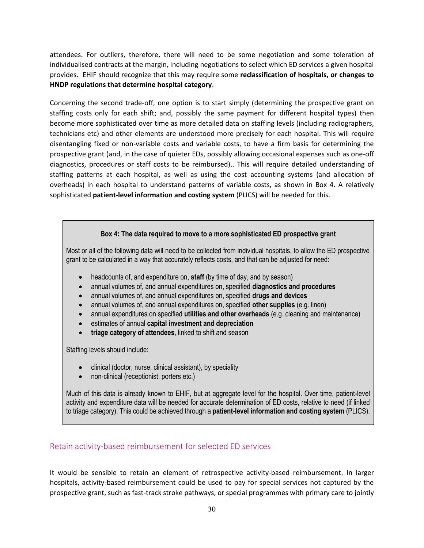attendees. For outliers, therefore, there will need to be some negotiation and some toleration of individualised contracts at the margin, including negotiations to select which ED services a given hospital provides. EHIF should recognize that this may require some **reclassification of hospitals, or changes to HNDP regulations that determine hospital category**.

Concerning the second trade-off, one option is to start simply (determining the prospective grant on staffing costs only for each shift; and, possibly the same payment for different hospital types) then become more sophisticated over time as more detailed data on staffing levels (including radiographers, technicians etc) and other elements are understood more precisely for each hospital. This will require disentangling fixed or non-variable costs and variable costs, to have a firm basis for determining the prospective grant (and, in the case of quieter EDs, possibly allowing occasional expenses such as one-off diagnostics, procedures or staff costs to be reimbursed).. This will require detailed understanding of staffing patterns at each hospital, as well as using the cost accounting systems (and allocation of overheads) in each hospital to understand patterns of variable costs, as shown in Box 4. A relatively sophisticated **patient-level information and costing system** (PLICS) will be needed for this.

#### **Box 4: The data required to move to a more sophisticated ED prospective grant**

Most or all of the following data will need to be collected from individual hospitals, to allow the ED prospective grant to be calculated in a way that accurately reflects costs, and that can be adjusted for need:

- headcounts of, and expenditure on, **staff** (by time of day, and by season)
- annual volumes of, and annual expenditures on, specified **diagnostics and procedures**
- annual volumes of, and annual expenditures on, specified **drugs and devices**
- annual volumes of, and annual expenditures on, specified **other supplies** (e.g. linen)
- annual expenditures on specified **utilities and other overheads** (e.g. cleaning and maintenance)
- estimates of annual **capital investment and depreciation**
- **triage category of attendees**, linked to shift and season

Staffing levels should include:

- clinical (doctor, nurse, clinical assistant), by speciality
- non-clinical (receptionist, porters etc.)

Much of this data is already known to EHIF, but at aggregate level for the hospital. Over time, patient-level activity and expenditure data will be needed for accurate determination of ED costs, relative to need (if linked to triage category). This could be achieved through a **patient-level information and costing system** (PLICS).

#### <span id="page-29-0"></span>Retain activity-based reimbursement for selected ED services

It would be sensible to retain an element of retrospective activity-based reimbursement. In larger hospitals, activity-based reimbursement could be used to pay for special services not captured by the prospective grant, such as fast-track stroke pathways, or special programmes with primary care to jointly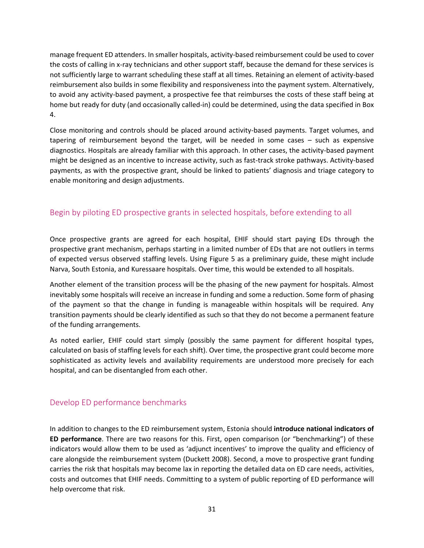manage frequent ED attenders. In smaller hospitals, activity-based reimbursement could be used to cover the costs of calling in x-ray technicians and other support staff, because the demand for these services is not sufficiently large to warrant scheduling these staff at all times. Retaining an element of activity-based reimbursement also builds in some flexibility and responsiveness into the payment system. Alternatively, to avoid any activity-based payment, a prospective fee that reimburses the costs of these staff being at home but ready for duty (and occasionally called-in) could be determined, using the data specified in Box 4.

Close monitoring and controls should be placed around activity-based payments. Target volumes, and tapering of reimbursement beyond the target, will be needed in some cases – such as expensive diagnostics. Hospitals are already familiar with this approach. In other cases, the activity-based payment might be designed as an incentive to increase activity, such as fast-track stroke pathways. Activity-based payments, as with the prospective grant, should be linked to patients' diagnosis and triage category to enable monitoring and design adjustments.

### <span id="page-30-0"></span>Begin by piloting ED prospective grants in selected hospitals, before extending to all

Once prospective grants are agreed for each hospital, EHIF should start paying EDs through the prospective grant mechanism, perhaps starting in a limited number of EDs that are not outliers in terms of expected versus observed staffing levels. Using Figure 5 as a preliminary guide, these might include Narva, South Estonia, and Kuressaare hospitals. Over time, this would be extended to all hospitals.

Another element of the transition process will be the phasing of the new payment for hospitals. Almost inevitably some hospitals will receive an increase in funding and some a reduction. Some form of phasing of the payment so that the change in funding is manageable within hospitals will be required. Any transition payments should be clearly identified as such so that they do not become a permanent feature of the funding arrangements.

As noted earlier, EHIF could start simply (possibly the same payment for different hospital types, calculated on basis of staffing levels for each shift). Over time, the prospective grant could become more sophisticated as activity levels and availability requirements are understood more precisely for each hospital, and can be disentangled from each other.

#### <span id="page-30-1"></span>Develop ED performance benchmarks

In addition to changes to the ED reimbursement system, Estonia should **introduce national indicators of ED performance**. There are two reasons for this. First, open comparison (or "benchmarking") of these indicators would allow them to be used as 'adjunct incentives' to improve the quality and efficiency of care alongside the reimbursement system (Duckett 2008). Second, a move to prospective grant funding carries the risk that hospitals may become lax in reporting the detailed data on ED care needs, activities, costs and outcomes that EHIF needs. Committing to a system of public reporting of ED performance will help overcome that risk.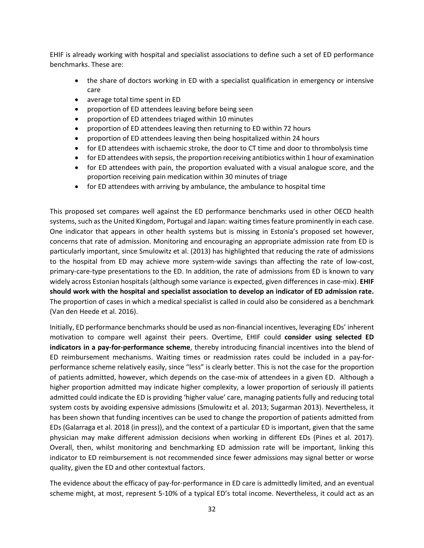EHIF is already working with hospital and specialist associations to define such a set of ED performance benchmarks. These are:

- the share of doctors working in ED with a specialist qualification in emergency or intensive care
- average total time spent in ED
- proportion of ED attendees leaving before being seen
- proportion of ED attendees triaged within 10 minutes
- proportion of ED attendees leaving then returning to ED within 72 hours
- proportion of ED attendees leaving then being hospitalized within 24 hours
- for ED attendees with ischaemic stroke, the door to CT time and door to thrombolysis time
- for ED attendees with sepsis, the proportion receiving antibiotics within 1 hour of examination
- for ED attendees with pain, the proportion evaluated with a visual analogue score, and the proportion receiving pain medication within 30 minutes of triage
- for ED attendees with arriving by ambulance, the ambulance to hospital time

This proposed set compares well against the ED performance benchmarks used in other OECD health systems, such as the United Kingdom, Portugal and Japan: waiting times feature prominently in each case. One indicator that appears in other health systems but is missing in Estonia's proposed set however, concerns that rate of admission. Monitoring and encouraging an appropriate admission rate from ED is particularly important, since Smulowitz et al. (2013) has highlighted that reducing the rate of admissions to the hospital from ED may achieve more system-wide savings than affecting the rate of low-cost, primary-care-type presentations to the ED. In addition, the rate of admissions from ED is known to vary widely across Estonian hospitals (although some variance is expected, given differences in case-mix). **EHIF should work with the hospital and specialist association to develop an indicator of ED admission rate.** The proportion of cases in which a medical specialist is called in could also be considered as a benchmark (Van den Heede et al. 2016).

Initially, ED performance benchmarks should be used as non-financial incentives, leveraging EDs' inherent motivation to compare well against their peers. Overtime, EHIF could **consider using selected ED indicators in a pay-for-performance scheme**, thereby introducing financial incentives into the blend of ED reimbursement mechanisms. Waiting times or readmission rates could be included in a pay-forperformance scheme relatively easily, since "less" is clearly better. This is not the case for the proportion of patients admitted, however, which depends on the case-mix of attendees in a given ED. Although a higher proportion admitted may indicate higher complexity, a lower proportion of seriously ill patients admitted could indicate the ED is providing 'higher value' care, managing patients fully and reducing total system costs by avoiding expensive admissions (Smulowitz et al. 2013; Sugarman 2013). Nevertheless, it has been shown that funding incentives can be used to change the proportion of patients admitted from EDs (Galarraga et al. 2018 (in press)), and the context of a particular ED is important, given that the same physician may make different admission decisions when working in different EDs (Pines et al. 2017). Overall, then, whilst monitoring and benchmarking ED admission rate will be important, linking this indicator to ED reimbursement is not recommended since fewer admissions may signal better or worse quality, given the ED and other contextual factors.

The evidence about the efficacy of pay-for-performance in ED care is admittedly limited, and an eventual scheme might, at most, represent 5-10% of a typical ED's total income. Nevertheless, it could act as an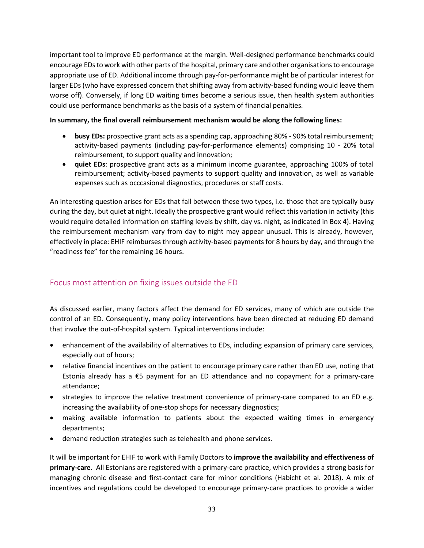important tool to improve ED performance at the margin. Well-designed performance benchmarks could encourage EDsto work with other parts of the hospital, primary care and other organisations to encourage appropriate use of ED. Additional income through pay-for-performance might be of particular interest for larger EDs (who have expressed concern that shifting away from activity-based funding would leave them worse off). Conversely, if long ED waiting times become a serious issue, then health system authorities could use performance benchmarks as the basis of a system of financial penalties.

#### **In summary, the final overall reimbursement mechanism would be along the following lines:**

- **busy EDs:** prospective grant acts as a spending cap, approaching 80% 90% total reimbursement; activity-based payments (including pay-for-performance elements) comprising 10 - 20% total reimbursement, to support quality and innovation;
- **quiet EDs**: prospective grant acts as a minimum income guarantee, approaching 100% of total reimbursement; activity-based payments to support quality and innovation, as well as variable expenses such as occcasional diagnostics, procedures or staff costs.

An interesting question arises for EDs that fall between these two types, i.e. those that are typically busy during the day, but quiet at night. Ideally the prospective grant would reflect this variation in activity (this would require detailed information on staffing levels by shift, day vs. night, as indicated in Box 4). Having the reimbursement mechanism vary from day to night may appear unusual. This is already, however, effectively in place: EHIF reimburses through activity-based payments for 8 hours by day, and through the "readiness fee" for the remaining 16 hours.

### <span id="page-32-0"></span>Focus most attention on fixing issues outside the ED

As discussed earlier, many factors affect the demand for ED services, many of which are outside the control of an ED. Consequently, many policy interventions have been directed at reducing ED demand that involve the out-of-hospital system. Typical interventions include:

- enhancement of the availability of alternatives to EDs, including expansion of primary care services, especially out of hours;
- relative financial incentives on the patient to encourage primary care rather than ED use, noting that Estonia already has a €5 payment for an ED attendance and no copayment for a primary-care attendance;
- strategies to improve the relative treatment convenience of primary-care compared to an ED e.g. increasing the availability of one-stop shops for necessary diagnostics;
- making available information to patients about the expected waiting times in emergency departments;
- demand reduction strategies such as telehealth and phone services.

It will be important for EHIF to work with Family Doctors to **improve the availability and effectiveness of primary-care.** All Estonians are registered with a primary-care practice, which provides a strong basis for managing chronic disease and first-contact care for minor conditions (Habicht et al. 2018). A mix of incentives and regulations could be developed to encourage primary-care practices to provide a wider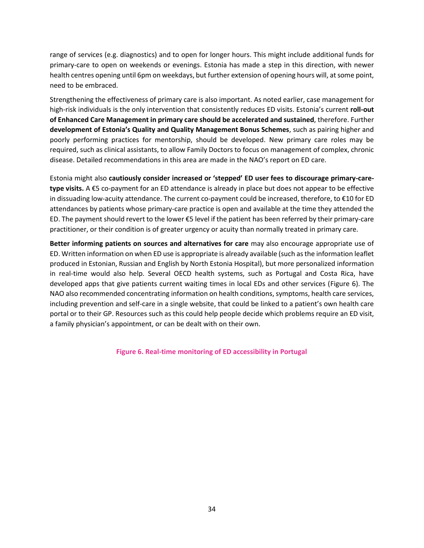range of services (e.g. diagnostics) and to open for longer hours. This might include additional funds for primary-care to open on weekends or evenings. Estonia has made a step in this direction, with newer health centres opening until 6pm on weekdays, but further extension of opening hours will, at some point, need to be embraced.

Strengthening the effectiveness of primary care is also important. As noted earlier, case management for high-risk individuals is the only intervention that consistently reduces ED visits. Estonia's current **roll-out of Enhanced Care Management in primary care should be accelerated and sustained**, therefore. Further **development of Estonia's Quality and Quality Management Bonus Schemes**, such as pairing higher and poorly performing practices for mentorship, should be developed. New primary care roles may be required, such as clinical assistants, to allow Family Doctors to focus on management of complex, chronic disease. Detailed recommendations in this area are made in the NAO's report on ED care.

Estonia might also **cautiously consider increased or 'stepped' ED user fees to discourage primary-caretype visits.** A €5 co-payment for an ED attendance is already in place but does not appear to be effective in dissuading low-acuity attendance. The current co-payment could be increased, therefore, to  $\epsilon$ 10 for ED attendances by patients whose primary-care practice is open and available at the time they attended the ED. The payment should revert to the lower €5 level if the patient has been referred by their primary-care practitioner, or their condition is of greater urgency or acuity than normally treated in primary care.

**Better informing patients on sources and alternatives for care** may also encourage appropriate use of ED. Written information on when ED use is appropriate is already available (such as the information leaflet produced in Estonian, Russian and English by North Estonia Hospital), but more personalized information in real-time would also help. Several OECD health systems, such as Portugal and Costa Rica, have developed apps that give patients current waiting times in local EDs and other services (Figure 6). The NAO also recommended concentrating information on health conditions, symptoms, health care services, including prevention and self-care in a single website, that could be linked to a patient's own health care portal or to their GP. Resources such as this could help people decide which problems require an ED visit, a family physician's appointment, or can be dealt with on their own.

**Figure 6. Real-time monitoring of ED accessibility in Portugal**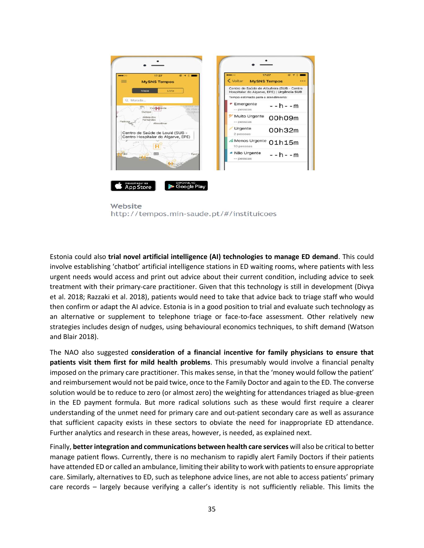

Website http://tempos.min-saude.pt/#/instituicoes

Estonia could also **trial novel artificial intelligence (AI) technologies to manage ED demand**. This could involve establishing 'chatbot' artificial intelligence stations in ED waiting rooms, where patients with less urgent needs would access and print out advice about their current condition, including advice to seek treatment with their primary-care practitioner. Given that this technology is still in development (Divya et al. 2018; Razzaki et al. 2018), patients would need to take that advice back to triage staff who would then confirm or adapt the AI advice. Estonia is in a good position to trial and evaluate such technology as an alternative or supplement to telephone triage or face-to-face assessment. Other relatively new strategies includes design of nudges, using behavioural economics techniques, to shift demand (Watson and Blair 2018).

The NAO also suggested **consideration of a financial incentive for family physicians to ensure that patients visit them first for mild health problems**. This presumably would involve a financial penalty imposed on the primary care practitioner. This makes sense, in that the 'money would follow the patient' and reimbursement would not be paid twice, once to the Family Doctor and again to the ED. The converse solution would be to reduce to zero (or almost zero) the weighting for attendances triaged as blue-green in the ED payment formula. But more radical solutions such as these would first require a clearer understanding of the unmet need for primary care and out-patient secondary care as well as assurance that sufficient capacity exists in these sectors to obviate the need for inappropriate ED attendance. Further analytics and research in these areas, however, is needed, as explained next.

Finally, **better integration and communications between health care services** will also be critical to better manage patient flows. Currently, there is no mechanism to rapidly alert Family Doctors if their patients have attended ED or called an ambulance, limiting their ability to work with patients to ensure appropriate care. Similarly, alternatives to ED, such as telephone advice lines, are not able to access patients' primary care records – largely because verifying a caller's identity is not sufficiently reliable. This limits the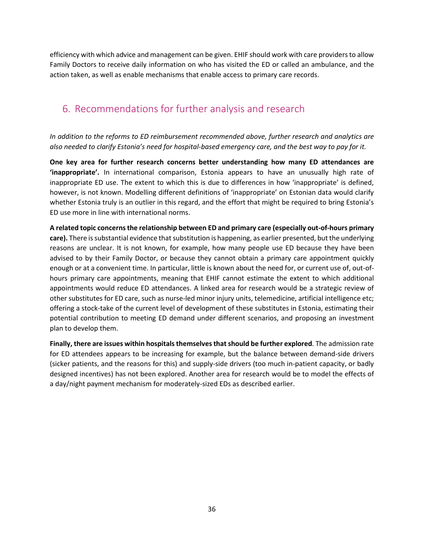efficiency with which advice and management can be given. EHIF should work with care providers to allow Family Doctors to receive daily information on who has visited the ED or called an ambulance, and the action taken, as well as enable mechanisms that enable access to primary care records.

# <span id="page-35-0"></span>6. Recommendations for further analysis and research

*In addition to the reforms to ED reimbursement recommended above, further research and analytics are also needed to clarify Estonia's need for hospital-based emergency care, and the best way to pay for it.* 

**One key area for further research concerns better understanding how many ED attendances are 'inappropriate'.** In international comparison, Estonia appears to have an unusually high rate of inappropriate ED use. The extent to which this is due to differences in how 'inappropriate' is defined, however, is not known. Modelling different definitions of 'inappropriate' on Estonian data would clarify whether Estonia truly is an outlier in this regard, and the effort that might be required to bring Estonia's ED use more in line with international norms.

**A related topic concerns the relationship between ED and primary care (especially out-of-hours primary care).** There is substantial evidence that substitution is happening, as earlier presented, but the underlying reasons are unclear. It is not known, for example, how many people use ED because they have been advised to by their Family Doctor, or because they cannot obtain a primary care appointment quickly enough or at a convenient time. In particular, little is known about the need for, or current use of, out-ofhours primary care appointments, meaning that EHIF cannot estimate the extent to which additional appointments would reduce ED attendances. A linked area for research would be a strategic review of other substitutes for ED care, such as nurse-led minor injury units, telemedicine, artificial intelligence etc; offering a stock-take of the current level of development of these substitutes in Estonia, estimating their potential contribution to meeting ED demand under different scenarios, and proposing an investment plan to develop them.

**Finally, there are issues within hospitals themselves that should be further explored**. The admission rate for ED attendees appears to be increasing for example, but the balance between demand-side drivers (sicker patients, and the reasons for this) and supply-side drivers (too much in-patient capacity, or badly designed incentives) has not been explored. Another area for research would be to model the effects of a day/night payment mechanism for moderately-sized EDs as described earlier.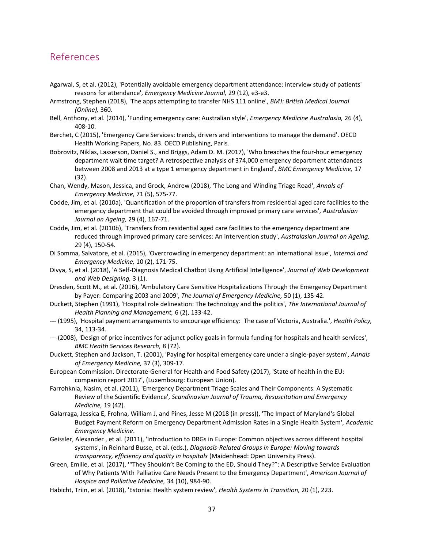### <span id="page-36-0"></span>References

- Agarwal, S, et al. (2012), 'Potentially avoidable emergency department attendance: interview study of patients' reasons for attendance', *Emergency Medicine Journal,* 29 (12), e3-e3.
- Armstrong, Stephen (2018), 'The apps attempting to transfer NHS 111 online', *BMJ: British Medical Journal (Online),* 360.
- Bell, Anthony, et al. (2014), 'Funding emergency care: Australian style', *Emergency Medicine Australasia,* 26 (4), 408-10.
- Berchet, C (2015), 'Emergency Care Services: trends, drivers and interventions to manage the demand'. OECD Health Working Papers, No. 83. OECD Publishing, Paris.
- Bobrovitz, Niklas, Lasserson, Daniel S., and Briggs, Adam D. M. (2017), 'Who breaches the four-hour emergency department wait time target? A retrospective analysis of 374,000 emergency department attendances between 2008 and 2013 at a type 1 emergency department in England', *BMC Emergency Medicine,* 17 (32).
- Chan, Wendy, Mason, Jessica, and Grock, Andrew (2018), 'The Long and Winding Triage Road', *Annals of Emergency Medicine,* 71 (5), 575-77.
- Codde, Jim, et al. (2010a), 'Quantification of the proportion of transfers from residential aged care facilities to the emergency department that could be avoided through improved primary care services', *Australasian Journal on Ageing,* 29 (4), 167-71.
- Codde, Jim, et al. (2010b), 'Transfers from residential aged care facilities to the emergency department are reduced through improved primary care services: An intervention study', *Australasian Journal on Ageing,* 29 (4), 150-54.
- Di Somma, Salvatore, et al. (2015), 'Overcrowding in emergency department: an international issue', *Internal and Emergency Medicine,* 10 (2), 171-75.
- Divya, S, et al. (2018), 'A Self-Diagnosis Medical Chatbot Using Artificial Intelligence', *Journal of Web Development and Web Designing,* 3 (1).
- Dresden, Scott M., et al. (2016), 'Ambulatory Care Sensitive Hospitalizations Through the Emergency Department by Payer: Comparing 2003 and 2009', *The Journal of Emergency Medicine,* 50 (1), 135-42.
- Duckett, Stephen (1991), 'Hospital role delineation: The technology and the politics', *The International Journal of Health Planning and Management,* 6 (2), 133-42.
- --- (1995), 'Hospital payment arrangements to encourage efficiency: The case of Victoria, Australia.', *Health Policy,* 34, 113-34.
- --- (2008), 'Design of price incentives for adjunct policy goals in formula funding for hospitals and health services', *BMC Health Services Research,* 8 (72).
- Duckett, Stephen and Jackson, T. (2001), 'Paying for hospital emergency care under a single-payer system', *Annals of Emergency Medicine,* 37 (3), 309-17.
- European Commission. Directorate-General for Health and Food Safety (2017), 'State of health in the EU: companion report 2017', (Luxembourg: European Union).
- Farrohknia, Nasim, et al. (2011), 'Emergency Department Triage Scales and Their Components: A Systematic Review of the Scientific Evidence', *Scandinavian Journal of Trauma, Resuscitation and Emergency Medicine,* 19 (42).
- Galarraga, Jessica E, Frohna, William J, and Pines, Jesse M (2018 (in press)), 'The Impact of Maryland's Global Budget Payment Reform on Emergency Department Admission Rates in a Single Health System', *Academic Emergency Medicine*.
- Geissler, Alexander , et al. (2011), 'Introduction to DRGs in Europe: Common objectives across different hospital systems', in Reinhard Busse, et al. (eds.), *Diagnosis-Related Groups in Europe: Moving towards transparency, efficiency and quality in hospitals* (Maidenhead: Open University Press).
- Green, Emilie, et al. (2017), '"They Shouldn't Be Coming to the ED, Should They?": A Descriptive Service Evaluation of Why Patients With Palliative Care Needs Present to the Emergency Department', *American Journal of Hospice and Palliative Medicine,* 34 (10), 984-90.
- Habicht, Triin, et al. (2018), 'Estonia: Health system review', *Health Systems in Transition,* 20 (1), 223.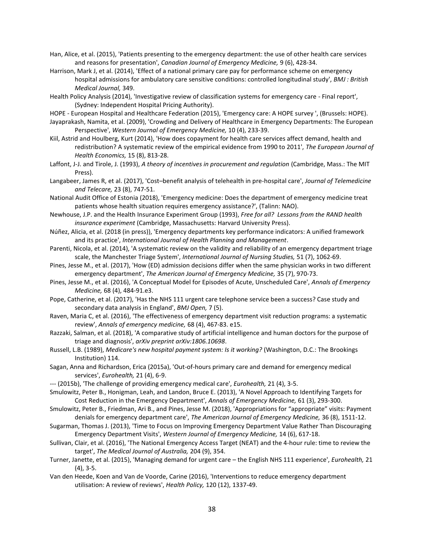Han, Alice, et al. (2015), 'Patients presenting to the emergency department: the use of other health care services and reasons for presentation', *Canadian Journal of Emergency Medicine,* 9 (6), 428-34.

Harrison, Mark J, et al. (2014), 'Effect of a national primary care pay for performance scheme on emergency hospital admissions for ambulatory care sensitive conditions: controlled longitudinal study', *BMJ : British Medical Journal,* 349.

Health Policy Analysis (2014), 'Investigative review of classification systems for emergency care - Final report', (Sydney: Independent Hospital Pricing Authority).

HOPE - European Hospital and Healthcare Federation (2015), 'Emergency care: A HOPE survey ', (Brussels: HOPE).

- Jayaprakash, Namita, et al. (2009), 'Crowding and Delivery of Healthcare in Emergency Departments: The European Perspective', *Western Journal of Emergency Medicine,* 10 (4), 233-39.
- Kiil, Astrid and Houlberg, Kurt (2014), 'How does copayment for health care services affect demand, health and redistribution? A systematic review of the empirical evidence from 1990 to 2011', *The European Journal of Health Economics,* 15 (8), 813-28.
- Laffont, J-J. and Tirole, J. (1993), *A theory of incentives in procurement and regulation* (Cambridge, Mass.: The MIT Press).
- Langabeer, James R, et al. (2017), 'Cost–benefit analysis of telehealth in pre-hospital care', *Journal of Telemedicine and Telecare,* 23 (8), 747-51.
- National Audit Office of Estonia (2018), 'Emergency medicine: Does the department of emergency medicine treat patients whose health situation requires emergency assistance?', (Talinn: NAO).
- Newhouse, J.P. and the Health Insurance Experiment Group (1993), *Free for all? Lessons from the RAND health insurance experiment* (Cambridge, Massachusetts: Harvard University Press).
- Núñez, Alicia, et al. (2018 (in press)), 'Emergency departments key performance indicators: A unified framework and its practice', *International Journal of Health Planning and Management*.
- Parenti, Nicola, et al. (2014), 'A systematic review on the validity and reliability of an emergency department triage scale, the Manchester Triage System', *International Journal of Nursing Studies,* 51 (7), 1062-69.
- Pines, Jesse M., et al. (2017), 'How (ED) admission decisions differ when the same physician works in two different emergency department', *The American Journal of Emergency Medicine,* 35 (7), 970-73.
- Pines, Jesse M., et al. (2016), 'A Conceptual Model for Episodes of Acute, Unscheduled Care', *Annals of Emergency Medicine,* 68 (4), 484-91.e3.
- Pope, Catherine, et al. (2017), 'Has the NHS 111 urgent care telephone service been a success? Case study and secondary data analysis in England', *BMJ Open,* 7 (5).
- Raven, Maria C, et al. (2016), 'The effectiveness of emergency department visit reduction programs: a systematic review', *Annals of emergency medicine,* 68 (4), 467-83. e15.
- Razzaki, Salman, et al. (2018), 'A comparative study of artificial intelligence and human doctors for the purpose of triage and diagnosis', *arXiv preprint arXiv:1806.10698*.
- Russell, L.B. (1989), *Medicare's new hospital payment system: Is it working?* (Washington, D.C.: The Brookings Institution) 114.
- Sagan, Anna and Richardson, Erica (2015a), 'Out-of-hours primary care and demand for emergency medical services', *Eurohealth,* 21 (4), 6-9.
- --- (2015b), 'The challenge of providing emergency medical care', *Eurohealth,* 21 (4), 3-5.

Smulowitz, Peter B., Honigman, Leah, and Landon, Bruce E. (2013), 'A Novel Approach to Identifying Targets for Cost Reduction in the Emergency Department', *Annals of Emergency Medicine,* 61 (3), 293-300.

Smulowitz, Peter B., Friedman, Ari B., and Pines, Jesse M. (2018), 'Appropriations for "appropriate" visits: Payment denials for emergency department care', *The American Journal of Emergency Medicine,* 36 (8), 1511-12.

- Sugarman, Thomas J. (2013), 'Time to Focus on Improving Emergency Department Value Rather Than Discouraging Emergency Department Visits', *Western Journal of Emergency Medicine,* 14 (6), 617-18.
- Sullivan, Clair, et al. (2016), 'The National Emergency Access Target (NEAT) and the 4-hour rule: time to review the target', *The Medical Journal of Australia,* 204 (9), 354.
- Turner, Janette, et al. (2015), 'Managing demand for urgent care the English NHS 111 experience', *Eurohealth,* 21 (4), 3-5.
- Van den Heede, Koen and Van de Voorde, Carine (2016), 'Interventions to reduce emergency department utilisation: A review of reviews', *Health Policy,* 120 (12), 1337-49.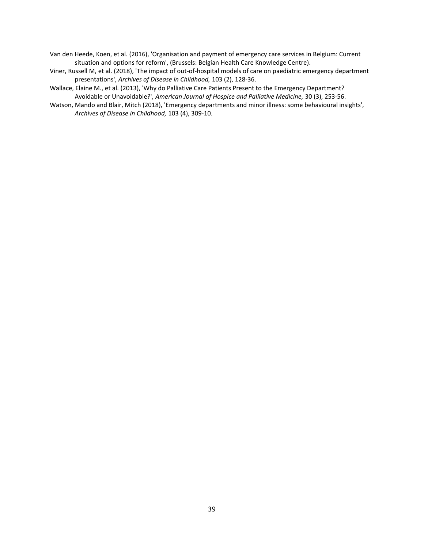Van den Heede, Koen, et al. (2016), 'Organisation and payment of emergency care services in Belgium: Current situation and options for reform', (Brussels: Belgian Health Care Knowledge Centre).

- Viner, Russell M, et al. (2018), 'The impact of out-of-hospital models of care on paediatric emergency department presentations', *Archives of Disease in Childhood,* 103 (2), 128-36.
- Wallace, Elaine M., et al. (2013), 'Why do Palliative Care Patients Present to the Emergency Department? Avoidable or Unavoidable?', *American Journal of Hospice and Palliative Medicine,* 30 (3), 253-56.
- Watson, Mando and Blair, Mitch (2018), 'Emergency departments and minor illness: some behavioural insights', *Archives of Disease in Childhood,* 103 (4), 309-10.